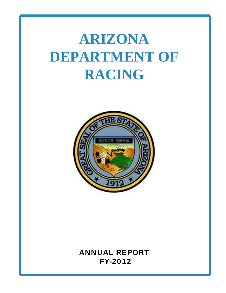# **ARIZONA DEPARTMENT OF RACING**



# ANNUAL REPORT FY-2012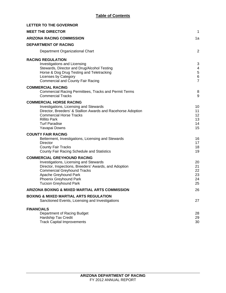| <b>LETTER TO THE GOVERNOR</b>                                                                                                                                                                                                                                  |                                             |
|----------------------------------------------------------------------------------------------------------------------------------------------------------------------------------------------------------------------------------------------------------------|---------------------------------------------|
| <b>MEET THE DIRECTOR</b>                                                                                                                                                                                                                                       | $\mathbf 1$                                 |
| <b>ARIZONA RACING COMMISSION</b>                                                                                                                                                                                                                               | 1a                                          |
| <b>DEPARTMENT OF RACING</b>                                                                                                                                                                                                                                    |                                             |
| Department Organizational Chart                                                                                                                                                                                                                                | $\overline{2}$                              |
| <b>RACING REGULATION</b><br>Investigations and Licensing<br>Stewards, Director and Drug/Alcohol Testing<br>Horse & Dog Drug Testing and Teletracking<br>Licenses by Category<br><b>Commercial and County Fair Racing</b>                                       | 3<br>4<br>$\sqrt{5}$<br>6<br>$\overline{7}$ |
| <b>COMMERCIAL RACING</b><br><b>Commercial Racing Permittees, Tracks and Permit Terms</b><br><b>Commercial Tracks</b>                                                                                                                                           | 8<br>9                                      |
| <b>COMMERCIAL HORSE RACING</b><br>Investigations, Licensing and Stewards<br>Director, Breeders' & Stallion Awards and Racehorse Adoption<br><b>Commercial Horse Tracks</b><br><b>Rillito Park</b><br><b>Turf Paradise</b><br>Yavapai Downs                     | 10<br>11<br>12<br>13<br>14<br>15            |
| <b>COUNTY FAIR RACING</b><br>Betterment, Investigations, Licensing and Stewards<br><b>Director</b><br><b>County Fair Tracks</b><br>County Fair Racing Schedule and Statistics                                                                                  | 16<br>17<br>18<br>19                        |
| <b>COMMERCIAL GREYHOUND RACING</b><br>Investigations, Licensing and Stewards<br>Director, Inspections, Breeders' Awards, and Adoption<br><b>Commercial Greyhound Tracks</b><br>Apache Greyhound Park<br>Phoenix Greyhound Park<br><b>Tucson Greyhound Park</b> | 20<br>21<br>22<br>23<br>24<br>25            |
| ARIZONA BOXING & MIXED MARTIAL ARTS COMMISSION                                                                                                                                                                                                                 | 26                                          |
| <b>BOXING &amp; MIXED MARTIAL ARTS REGULATION</b><br>Sanctioned Events, Licensing and Investigations                                                                                                                                                           | 27                                          |
| <b>FINANCIALS</b><br>Department of Racing Budget<br>Hardship Tax Credit<br><b>Track Capital Improvements</b>                                                                                                                                                   | 28<br>29<br>30                              |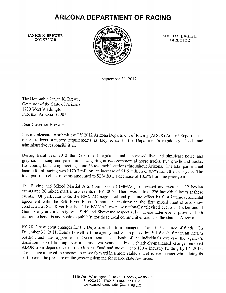# **ARIZONA DEPARTMENT OF RACING**

**JANICE K. BREWER GOVERNOR** 



WILLIAM J. WALSH **DIRECTOR** 

September 30, 2012

The Honorable Janice K. Brewer Governor of the State of Arizona 1700 West Washington Phoenix, Arizona 85007

Dear Governor Brewer:

It is my pleasure to submit the FY 2012 Arizona Department of Racing (ADOR) Annual Report. This report reflects statutory requirements as they relate to the Department's regulatory, fiscal, and administrative responsibilities.

During fiscal year 2012 the Department regulated and supervised live and simulcast horse and greyhound racing and pari-mutuel wagering at two commercial horse tracks, two greyhound tracks, two county fair racing meetings, and 63 teletrack locations throughout Arizona. The total pari-mutuel handle for all racing was \$170.7 million, an increase of \$1.5 million or 0.9% from the prior year. The total pari-mutuel tax receipts amounted to \$254,801, a decrease of 10.5% from the prior year.

The Boxing and Mixed Martial Arts Commission (BMMAC) supervised and regulated 12 boxing events and 26 mixed martial arts events in FY 2012. There were a total 276 individual bouts at these events. Of particular note, the BMMAC negotiated and put into effect its first intergovernmental agreement with the Salt River Pima Community resulting in the first mixed martial arts show conducted at Salt River Fields. The BMMAC oversaw nationally televised events in Parker and at Grand Canyon University, on ESPN and Showtime respectively. These latter events provided both economic benefits and positive publicity for these local communities and also the state of Arizona.

FY 2012 saw great changes for the Department both in management and in its source of funds. On December 31, 2011, Lonny Powell left the agency and was replaced by Bill Walsh, first in an interim position and later appointed as Department head. Both of the individuals oversaw the agency's transition to self-funding over a period two years. This legislatively-mandated change removed ADOR from dependence on the General Fund and moved it to 100% industry funding by FY 2013. The change allowed the agency to move forward in a more stable and effective manner while doing its part to ease the pressure on the growing demand for scarce state resources.

> 1110 West Washington, Suite 260, Phoenix, AZ 85007 Ph (602) 364-1700 Fax (602) 364-1703 www.azracing.gov ador@azracing.gov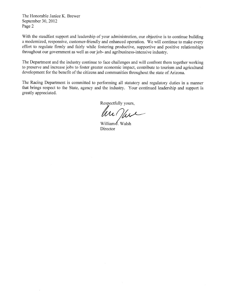The Honorable Janice K. Brewer September 30, 2012 Page 2

With the steadfast support and leadership of your administration, our objective is to continue building a modernized, responsive, customer-friendly and enhanced operation. We will continue to make every effort to regulate firmly and fairly while fostering productive, supportive and positive relationships throughout our government as well as our job- and agribusiness-intensive industry.

The Department and the industry continue to face challenges and will confront them together working to preserve and increase jobs to foster greater economic impact, contribute to tourism and agricultural development for the benefit of the citizens and communities throughout the state of Arizona.

The Racing Department is committed to performing all statutory and regulatory duties in a manner that brings respect to the State, agency and the industry. Your continued leadership and support is greatly appreciated.

Respectfully yours,

William∮. Walsh Director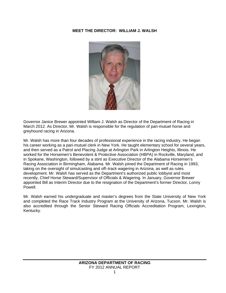## **MEET THE DIRECTOR: WILLIAM J. WALSH**



Governor Janice Brewer appointed William J. Walsh as Director of the Department of Racing in March 2012. As Director, Mr. Walsh is responsible for the regulation of pari-mutuel horse and greyhound racing in Arizona.

Mr. Walsh has more than four decades of professional experience in the racing industry. He began his career working as a pari-mutuel clerk in New York. He taught elementary school for several years, and then served as a Patrol and Placing Judge at Arlington Park in Arlington Heights, Illinois. He worked for the Horsemen's Benevolent & Protective Association (HBPA) in Rockville, Maryland, and in Spokane, Washington, followed by a stint as Executive Director of the Alabama Horsemen's Racing Association in Birmingham, Alabama. Mr. Walsh joined the Department of Racing in 1993, taking on the oversight of simulcasting and off–track wagering in Arizona, as well as rules development. Mr. Walsh has served as the Department's authorized public lobbyist and most recently, Chief Horse Steward/Supervisor of Officials & Wagering. In January, Governor Brewer appointed Bill as Interim Director due to the resignation of the Department's former Director, Lonny Powell.

Mr. Walsh earned his undergraduate and master's degrees from the State University of New York and completed the Race Track Industry Program at the University of Arizona, Tucson. Mr. Walsh is also accredited through the Senior Steward Racing Officials Accreditation Program, Lexington, Kentucky.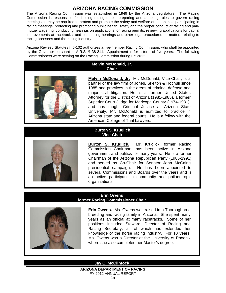# **ARIZONA RACING COMMISSION**

The Arizona Racing Commission was established in 1949 by the Arizona Legislature. The Racing Commission is responsible for issuing racing dates; preparing and adopting rules to govern racing meetings as may be required to protect and promote the safety and welfare of the animals participating in racing meetings; protecting and promoting public health, safety and the proper conduct of racing and parimutuel wagering; conducting hearings on applications for racing permits; reviewing applications for capital improvements at racetracks; and conducting hearings and other legal procedures on matters relating to racing licensees and the racing industry.

Arizona Revised Statutes § 5-102 authorizes a five-member Racing Commission, who shall be appointed by the Governor pursuant to A.R.S. § 38-211. Appointment is for a term of five years. The following Commissioners were serving on the Racing Commission during FY 2012.

#### **Melvin McDonald, Jr. Chair**



**Melvin McDonald, Jr.** Mr. McDonald, Vice-Chair, is a partner of the law firm of Jones, Skelton & Hochuli since 1985 and practices in the areas of criminal defense and major civil litigation. He is a former United States Attorney for the District of Arizona (1981-1985), a former Superior Court Judge for Maricopa County (1974-1981), and has taught Criminal Justice at Arizona State University. Mr. McDonald is admitted to practice in Arizona state and federal courts. He is a fellow with the American College of Trial Lawyers.

#### **Burton S. Kruglick Vice-Chair**



**Burton S. Kruglick.** Mr. Kruglick, former Racing Commission Chairman, has been active in Arizona government and politics for many years. He is a former Chairman of the Arizona Republican Party (1985-1991) and served as Co-Chair for Senator John McCain's presidential campaign. He has been appointed to several Commissions and Boards over the years and is an active participant in community and philanthropic organizations.

## **Erin Owens former Racing Commissioner Chair**



**Erin Owens.** Ms. Owens was raised in a Thoroughbred breeding and racing family in Arizona. She spent many years as an official at many racetracks. Some of her positions included Steward, Director of Racing and Racing Secretary, all of which has extended her knowledge of the horse racing industry. For 10 years, Ms. Owens was a Director at the University of Phoenix where she also completed her Master's degree.

## **Jay C. McClintock**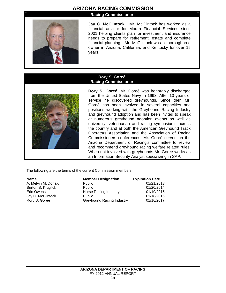# **ARIZONA RACING COMMISSION**

**Racing Commissioner**



**Jay C. McClintock.** Mr. McClintock has worked as a financial advisor for Moran Financial Services since 2001 helping clients plan for investment and insurance needs to prepare for retirement, estate and complete financial planning. Mr. McClintock was a thoroughbred owner in Arizona, California, and Kentucky for over 15 years.

#### **Rory S. Goreé Racing Commissioner**



**Rory S. Goreé.** Mr. Goreé was honorably discharged from the United States Navy in 1993. After 10 years of service he discovered greyhounds. Since then Mr. Goreé has been involved in several capacities and positions working with the Greyhound Racing Industry and greyhound adoption and has been invited to speak at numerous greyhound adoption events as well as university, veterinarian and racing symposiums across the country and at both the American Greyhound Track Operators Association and the Association of Racing Commissioners conferences. Mr. Goreé served on the Arizona Department of Racing's committee to review and recommend greyhound racing welfare related rules. When not involved with greyhounds Mr. Goreé works as an Information Security Analyst specializing in SAP.

The following are the terms of the current Commission members:

| <b>Name</b>        | <b>Member Designation</b>        | <b>Expiration Date</b> |
|--------------------|----------------------------------|------------------------|
| A. Melvin McDonald | <b>Public</b>                    | 01/21/2013             |
| Burton S. Kruglick | <b>Public</b>                    | 01/20/2014             |
| Erin Owens         | Horse Racing Industry            | 01/19/2015             |
| Jay C. McClintock  | <b>Public</b>                    | 01/18/2016             |
| Rory S. Goreé      | <b>Greyhound Racing Industry</b> | 01/16/2017             |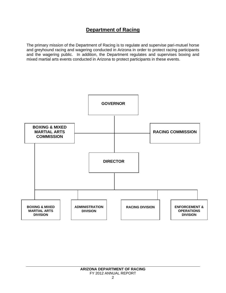# **Department of Racing**

The primary mission of the Department of Racing is to regulate and supervise pari-mutuel horse and greyhound racing and wagering conducted in Arizona in order to protect racing participants and the wagering public. In addition, the Department regulates and supervises boxing and mixed martial arts events conducted in Arizona to protect participants in these events.

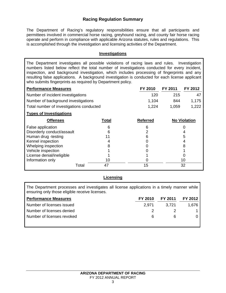# **Racing Regulation Summary**

The Department of Racing's regulatory responsibilities ensure that all participants and permittees involved in commercial horse racing, greyhound racing, and county fair horse racing operate and perform in compliance with applicable Arizona statutes, rules and regulations. This is accomplished through the investigation and licensing activities of the Department.

## **Investigations**

The Department investigates all possible violations of racing laws and rules. Investigation numbers listed below reflect the total number of investigations conducted for every incident, inspection, and background investigation, which includes processing of fingerprints and any resulting false applications. A background investigation is conducted for each license applicant who submits fingerprints as required by Department policy.

| <b>Performance Measures</b>              | FY 2010 | FY 2011 | FY 2012 |
|------------------------------------------|---------|---------|---------|
| Number of incident investigations        | 120     | 215     | 47      |
| Number of background investigations      | 1.104   | 844     | 1.175   |
| Total number of investigations conducted | 1.224   | 1.059   | 1,222   |

#### **Types of Investigations**

| <b>Offenses</b>            |       | Total | <b>Referred</b> | <b>No Violation</b> |
|----------------------------|-------|-------|-----------------|---------------------|
| False application          |       | 6     |                 |                     |
| Disorderly conduct/assault |       | 6     |                 |                     |
| Human drug -testing        |       |       |                 | 5                   |
| Kennel inspection          |       |       |                 |                     |
| Whelping inspection        |       |       |                 |                     |
| Vehicle inspection         |       |       |                 |                     |
| License denial/ineligible  |       |       |                 |                     |
| Information only           |       | 10    |                 | 10                  |
|                            | Total | 47    | 15              | 32                  |

## **Licensing**

The Department processes and investigates all license applications in a timely manner while ensuring only those eligible receive licenses.

| <b>Performance Measures</b> | FY 2010 | FY 2011 FY 2012 |       |
|-----------------------------|---------|-----------------|-------|
| Number of licenses issued   | 2.971   | - 3.721         | 1.676 |
| Number of licenses denied   |         |                 |       |
| Number of licenses revoked  | 6       | ĥ               |       |
|                             |         |                 |       |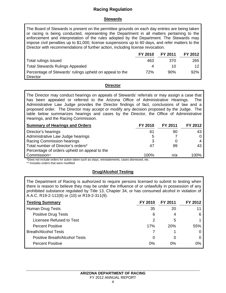# **Racing Regulation**

## **Stewards**

The Board of Stewards is present on the permittee grounds on each day entries are being taken or racing is being conducted, representing the Department in all matters pertaining to the enforcement and interpretation of the rules adopted by the Department. The Stewards may impose civil penalties up to \$1,000, license suspensions up to 60 days, and refer matters to the Director with recommendations of further action, including license revocation.

|                                                                     | FY 2010 | FY 2011 | FY 2012 |
|---------------------------------------------------------------------|---------|---------|---------|
| Total rulings issued                                                | 463     | 370     | 265     |
| <b>Total Stewards Rulings Appealed</b>                              | Δ       | 10      | 12      |
| Percentage of Stewards' rulings upheld on appeal to the<br>Director | 72%     | 90%     | 92%     |

## **Director**

The Director may conduct hearings on appeals of Stewards' referrals or may assign a case that has been appealed or referred to the Arizona Office of Administrative Hearings. The Administrative Law Judge provides the Director findings of fact, conclusions of law and a proposed order. The Director may accept or modify any decision proposed by the Judge. The table below summarizes hearings and cases by the Director, the Office of Administrative Hearings, and the Racing Commission.

| <b>Summary of Hearings and Orders</b>        | FY 2010 | FY 2011 | FY 2012 |
|----------------------------------------------|---------|---------|---------|
| Director's hearings                          | 61      | 90      | -43     |
| Administrative Law Judge hearings            | 5       |         |         |
| Racing Commission hearings                   | 3       |         |         |
| Total number of Director's orders*           | -47     | .99     | 43      |
| Percentage of orders upheld on appeal to the |         |         |         |
| Commission**                                 | 100%    | n/a     | 100%    |

\*Does not include orders for action taken such as stays, reinstatements, cases dismissed, etc.

\*\* Includes orders that were modified

# **Drug/Alcohol Testing**

The Department of Racing is authorized to require persons licensed to submit to testing when there is reason to believe they may be under the influence of or unlawfully in possession of any prohibited substance regulated by Title 13, Chapter 34, or has consumed alcohol in violation of A.A.C. R19-2-112(8) or (10) or R19-2-311(9).

| <b>Testing Summary</b>        | FY 2010 | FY 2011    | FY 2012 |
|-------------------------------|---------|------------|---------|
| Human Drug Tests              | 35      | 20         |         |
| <b>Positive Drug Tests</b>    | 6       | 4          | 6       |
| Licensee Refused to Test      | 2       | 5          |         |
| <b>Percent Positive</b>       | 17%     | <b>20%</b> | 55%     |
| <b>Breath/Alcohol Tests</b>   |         |            |         |
| Positive Breath/Alcohol Tests | 0       | 0          |         |
| <b>Percent Positive</b>       | 0%      | $0\%$      | 0%      |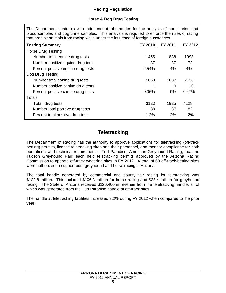# **Racing Regulation**

# **Horse & Dog Drug Testing**

The Department contracts with independent laboratories for the analysis of horse urine and blood samples and dog urine samples. This analysis is required to enforce the rules of racing that prohibit animals from racing while under the influence of foreign substances.

| <b>Testing Summary</b>             | FY 2010 | FY 2011  | FY 2012 |
|------------------------------------|---------|----------|---------|
| Horse Drug Testing                 |         |          |         |
| Number total equine drug tests     | 1455    | 838      | 1998    |
| Number positive equine drug tests  | 37      | 37       | 72      |
| Percent positive equine drug tests | 2.54%   | 4%       | 4%      |
| Dog Drug Testing                   |         |          |         |
| Number total canine drug tests     | 1668    | 1087     | 2130    |
| Number positive canine drug tests  |         | $\Omega$ | 10      |
| Percent positive canine drug tests | 0.06%   | 0%       | 0.47%   |
| Totals                             |         |          |         |
| Total drug tests                   | 3123    | 1925     | 4128    |
| Number total positive drug tests   | 38      | 37       | 82      |
| Percent total positive drug tests  | 1.2%    | 2%       | 2%      |

# **Teletracking**

The Department of Racing has the authority to approve applications for teletracking (off-track betting) permits, license teletracking sites and their personnel, and monitor compliance for both operational and technical requirements. Turf Paradise, American Greyhound Racing, Inc. and Tucson Greyhound Park each held teletracking permits approved by the Arizona Racing Commission to operate off-track wagering sites in FY 2012. A total of 63 off-track-betting sites were authorized to support both greyhound and horse racing in Arizona.

The total handle generated by commercial and county fair racing for teletracking was \$129.8 million. This included \$106.3 million for horse racing and \$23.4 million for greyhound racing. The State of Arizona received \$126,460 in revenue from the teletracking handle, all of which was generated from the Turf Paradise handle at off-track sites.

The handle at teletracking facilities increased 3.2% during FY 2012 when compared to the prior year.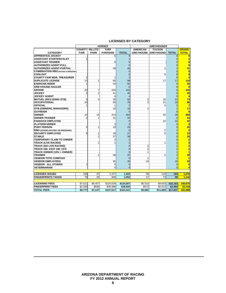|                                                | <b>HORSES</b>  |                |                 | <b>GREYHOUNDS</b> |                  |                  |                |                         |
|------------------------------------------------|----------------|----------------|-----------------|-------------------|------------------|------------------|----------------|-------------------------|
|                                                | <b>COUNTY</b>  | <b>RILLITO</b> | <b>TURF</b>     |                   | <b>AMERICAN</b>  | <b>TUCSON</b>    |                | <b>GRAND</b>            |
| <b>CATEGORY</b>                                | <b>FAIR</b>    | <b>PARK</b>    | <b>PARADISE</b> | <b>TOTAL</b>      | <b>GREYHOUND</b> | <b>GREYHOUND</b> | <b>TOTAL</b>   | <b>TOTAL</b>            |
| <b>APPRENTICE JOCKEY</b>                       |                |                | 5               | 5                 |                  |                  | $\Omega$       | 5                       |
| <b>ASSISTANT STARTER/VALET</b>                 | 1              |                |                 |                   |                  |                  | $\Omega$       | $\overline{1}$          |
| <b>ASSISTANT TRAINER</b>                       |                |                | 6               |                   |                  |                  |                | 6                       |
| <b>AUTHORIZED AGENT-FULL</b>                   |                |                |                 |                   |                  |                  |                | $\overline{0}$          |
| <b>AUTHORIZED AGENT-PARTIAL</b>                |                |                | 49              | 49                |                  | $\overline{2}$   |                | 51                      |
| <b>COMBINATION RBO (RACING &amp; BREEDING)</b> |                |                |                 | $\Omega$          |                  |                  | $\overline{0}$ | $\mathbf{0}$            |
| <b>COOLOUT</b>                                 |                |                |                 | $\Omega$          |                  | 8                | 8              | $\overline{\mathbf{8}}$ |
| <b>COUNTY FAIR MGR, TREASURER</b>              | $\overline{2}$ |                | 1               | 3                 |                  |                  | $\mathbf 0$    | $\overline{\mathbf{3}}$ |
| <b>IDUPLICATE LICENSE</b>                      | 13             | 1              | 85              | 99                |                  | 17               | 17             | 116                     |
| <b>EXERCISE RIDER</b>                          | 1              |                | 54              | 55                |                  |                  | $\Omega$       | 55                      |
| <b>IGREYHOUND HAULER</b>                       |                |                |                 | $\Omega$          |                  |                  | $\Omega$       | $\mathbf{0}$            |
| <b>GROOM</b>                                   | 20             | $\overline{7}$ | 416             | 443               |                  |                  | $\Omega$       | 443                     |
| <b>JOCKEY</b>                                  | 3              | $\mathbf{1}$   | 41              | 45                |                  |                  |                | 45                      |
| <b>JOCKEY AGENT</b>                            |                |                | 4               | $\overline{4}$    |                  |                  | $\Omega$       | $\blacktriangleleft$    |
| <b>MUTUEL (INCLUDING OTB)</b>                  | 9              | 3              | 38              | 50                | 5                | 18               | 23             | 73                      |
| <b>OCCUPATIONAL</b>                            | 20             |                | 58              | 78                | 3                | 15               | 18             | 96                      |
| <b>OFFICIAL</b>                                | 1              |                | 1               | $\overline{2}$    |                  | 5                | 5              | $\overline{7}$          |
| <b>OTB (OWNERS, MANAGERS)</b>                  |                |                | 16              | 16                | 1                |                  |                | 17                      |
| <b>OUTRIDER</b>                                |                |                |                 | $\Omega$          |                  |                  | $\Omega$       | $\mathbf{0}$            |
| <b>OWNER</b>                                   | 22             | 19             | 413             | 454               |                  | 26               | 26             | 480                     |
| <b>IOWNER-TRAINER</b>                          | $\overline{2}$ | 1              | 31              | 34                |                  |                  | $\Omega$       | 34                      |
| <b>IPADDOCK EMPLOYEE</b>                       |                |                |                 | $\Omega$          |                  | 22               | 22             | 22                      |
| <b>PLATER/FARRIER</b>                          |                |                | 3               | 3                 |                  |                  | $\Omega$       | $\overline{\mathbf{3}}$ |
| <b>PONY PERSON</b>                             | 5              | 1              | 19              | 25                |                  |                  | $\overline{0}$ | 25                      |
| <b>RBO (KENNEL/RACING OR BREEDING)</b>         |                |                |                 | $\Omega$          |                  | 2                |                | $\overline{2}$          |
| <b>SECURITY EMPLOYEE</b>                       | 8              | 1              | 18              | 27                |                  | 6                | 6              | 33                      |
| <b>STABLE</b>                                  |                | 1              | 37              | 38                |                  |                  |                | 38                      |
| <b>ITEMPORARY CLAIM TO OWNER</b>               |                |                | 2               |                   |                  |                  |                | $\overline{2}$          |
| <b>TRACK (LIVE RACING)</b>                     |                | 1              | 1               |                   |                  | 1                |                | $\overline{\mathbf{3}}$ |
| <b>TRACK (NO LIVE RACING)</b>                  |                |                |                 | $\Omega$          | $\overline{2}$   |                  |                | $\overline{2}$          |
| TRACK GM, ASST GM, CFO                         |                |                |                 | $\Omega$          | $\overline{2}$   |                  |                | $\overline{2}$          |
| TRACK OWNER (10% + OWNER)                      |                |                |                 | $\Omega$          | 1                |                  |                | $\overline{\mathbf{1}}$ |
| <b>TRAINER</b>                                 |                | 1              | 36              | 37                |                  | $\overline{2}$   |                | 39                      |
| <b>VENDOR-TOTE COMPANY</b>                     |                |                |                 | $\Omega$          | 1                |                  |                | $\vert$ 1               |
| <b>VENDOR EMPLOYEES</b>                        |                |                | 35              | 35                | 15               |                  | 15             | 50                      |
| <b>VENDOR - ALL OTHERS</b>                     | 1              |                | $\overline{4}$  | 5                 |                  |                  | $\mathbf 0$    | 5                       |
| <b>VETERINARIAN</b>                            |                |                | 4               | 4                 |                  |                  | $\Omega$       | $\overline{4}$          |
|                                                |                |                |                 |                   |                  |                  |                |                         |
| <b>LICENSES ISSUED</b>                         | 108            | 37             | 1.377           | 1.522             | 30               | 124              | 154            | 1.676                   |
| <b>FINGERPRINTS TAKEN</b>                      | 79             | 25             | 948             | 1,052             | 17               | 73               | 90             | 1,142                   |
|                                                |                |                |                 |                   |                  |                  |                |                         |
| <b>LICENSING FEES</b>                          | \$7.521        | \$6,457        | \$120.529       | \$134,507         | \$5,510          | \$9.653          | \$15.163       | 149,670                 |
| <b>FINGERPRINT FEES</b>                        | \$2.256        | \$690          | \$26.988        | \$29.934          | \$472            | \$2.012          | \$2,484        | 32.418                  |
| <b>TOTAL FEES</b>                              | \$9,777        | \$7,147        | \$147,517       | \$164,441         | \$5,982          | \$11,665         | \$17,647       | 182,088                 |

#### **LICENSES BY CATEGORY**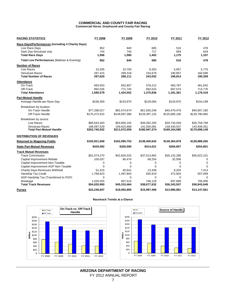#### **COMMERCIAL AND COUNTY FAIR RACING Commercial Horse, Greyhound and County Fair Racing**

| <b>RACING STATISTICS</b>                           | FY 2008                      | FY 2009                      | FY 2010                      | FY 2011                      | FY 2012                      |
|----------------------------------------------------|------------------------------|------------------------------|------------------------------|------------------------------|------------------------------|
| Race Days/Performances (including 4 Charity Days)  |                              |                              |                              |                              |                              |
| Live Race Days                                     | 852                          | 840                          | 685                          | 516                          | 478                          |
| Dark Day-Simulcast only                            | 744                          | 740                          | 717                          | 659                          | 629                          |
| <b>Total Race Days</b>                             | 1.596                        | 1,580                        | 1,402                        | 1,175                        | 1,107                        |
| Total Live Performances (Matinee & Evening)        | 852                          | 840                          | 685                          | 516                          | 478                          |
| <b>Number of Races</b>                             |                              |                              |                              |                              |                              |
| Live Races                                         | 10,205                       | 10,793                       | 8,353                        | 5,957                        | 5,770                        |
| <b>Simulcast Races</b>                             | 287,415                      | 269,318                      | 234,679                      | 190.857                      | 184,589                      |
| <b>Total Number of Races</b>                       | 297,620                      | 280,111                      | 243,032                      | 196,814                      | 190,359                      |
| <b>Attendance</b>                                  |                              |                              |                              |                              |                              |
| On-Track                                           | 693,553                      | 652,807                      | 578,212                      | 483,787                      | 461,642                      |
| Off-Track                                          | 892,026                      | 771,745                      | 692,624                      | 697,574                      | 714,776                      |
| <b>Total Attendance</b>                            | 1,585,579                    | 1,424,552                    | 1,270,836                    | 1,181,361                    | 1,176,418                    |
| <b>Pari-Mutuel Handle</b>                          |                              |                              |                              |                              |                              |
| Average Handle per Race Day                        | \$158,359                    | \$133,970                    | \$129,064                    | \$143,970                    | \$154,199                    |
| Breakdown by location                              |                              |                              |                              |                              |                              |
| On-Track Handle                                    | \$77,268,017                 | \$62,574,674                 | \$51,550,249                 | \$43,479,479                 | \$40,907,185                 |
| Off-Track Handle                                   | \$175,472,915                | \$149,097,386                | \$129,397,125                | \$125,685,106                | \$129,790,965                |
| Breakdown by source                                |                              |                              |                              |                              |                              |
| Live Races                                         | \$66,643,403                 | \$54,856,192                 | \$39,392,293                 | \$29,734,049                 | \$26,758,799                 |
| <b>Simulcast Races</b><br>Total Pari-Mutuel Handle | 186.097.529<br>\$252,740,932 | 156,815,868<br>\$211,672,059 | 141.555.081<br>\$180,947,374 | 139,430,537<br>\$169,164,585 | 143,939,351<br>\$170,698,149 |
| <b>DISTRIBUTION OF REVENUES</b>                    |                              |                              |                              |                              |                              |
| <b>Returned to Wagering Public</b>                 | \$193,921,658                | \$162,095,753                | \$138,400,642                | \$128,364,878                | \$128,888,265                |
| <b>State Pari-Mutuel Revenues</b>                  | \$429,592                    | \$326,590                    | \$314,021                    | \$284,807                    | \$254,801                    |
| <b>Track Mutuel Revenues</b>                       |                              |                              |                              |                              |                              |
| <b>Track Commission</b>                            | \$51,074,270                 | \$42,834,032                 | \$37,013,892                 | \$35,132,296                 | \$35,622,231                 |
| Capital Improvement Rebate                         | 100,037                      | 80,474                       | 68,254                       | 32,506                       | $\Omega$                     |
| Capital Improvement Non-Taxable                    | 0                            | $\mathbf 0$                  | 0                            | $\mathbf 0$                  | $\mathbf 0$                  |
| Capital Improvement AGP Non-Taxable                | $\Omega$                     | $\mathbf 0$                  | 0                            | $\Omega$                     | $\Omega$                     |
| <b>Charity Days-Revenues Withheld</b>              | 51,415                       | 40,641                       | 13,438                       | 8,203                        | 7,413                        |
| Hardship Tax Credit                                | 1,768,623                    | 1,497,803                    | 835,919                      | 472,604                      | 507,099                      |
| AGP-Hardship Tax (Transferred to PGP)              | 0                            | 0                            | $\mathbf 0$                  | $\mathbf 0$                  | 0                            |
| Breakage                                           | 1,026,555                    | 857,514                      | 746,129                      | 697,899                      | 706,906                      |
| <b>Total Track Revenues</b>                        | \$54,020,900                 | \$45,310,464                 | \$38,677,632                 | \$36,343,507                 | \$36,843,649                 |
| <b>Purses</b>                                      | \$22,246,607                 | \$18,902,895                 | \$15,997,406                 | \$13,980,881                 | \$13,147,561                 |

#### **Racetrack Trends at a Glance**



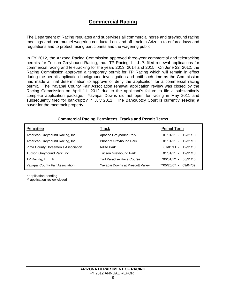# **Commercial Racing**

The Department of Racing regulates and supervises all commercial horse and greyhound racing meetings and pari-mutuel wagering conducted on- and off-track in Arizona to enforce laws and regulations and to protect racing participants and the wagering public.

In FY 2012, the Arizona Racing Commission approved three-year commercial and teletracking permits for Tucson Greyhound Racing, Inc. TP Racing, L.L.L.P. filed renewal applications for commercial racing and teletracking for the years 2013, 2014 and 2015. On June 22, 2012, the Racing Commission approved a temporary permit for TP Racing which will remain in effect during the permit application background investigation and until such time as the Commission has made a final determination to approve or deny the application for a commercial racing permit. The Yavapai County Fair Association renewal application review was closed by the Racing Commission on April 11, 2012 due to the applicant's failure to file a substantively complete application package. Yavapai Downs did not open for racing in May 2011 and subsequently filed for bankruptcy in July 2011. The Bankruptcy Court is currently seeking a buyer for the racetrack property.

| Permittee                          | Track                            | Permit Term                      |
|------------------------------------|----------------------------------|----------------------------------|
| American Greyhound Racing, Inc.    | Apache Greyhound Park            | 12/31/13<br>$01/01/11 -$         |
| American Greyhound Racing, Inc.    | Phoenix Greyhound Park           | $01/01/11 -$<br>12/31/13         |
| Pima County Horsemen's Association | <b>Rillito Park</b>              | $01/01/11 - 12/31/13$            |
| Tucson Greyhound Park, Inc.        | <b>Tucson Greyhound Park</b>     | 12/31/13<br>$01/01/11 -$         |
| TP Racing, L.L.L.P.                | Turf Paradise Race Course        | 05/31/15<br>*06/01/12 -          |
| Yavapai County Fair Association    | Yavapai Downs at Prescott Valley | **05/26/07<br>09/04/09<br>$\sim$ |

## **Commercial Racing Permittees, Tracks and Permit Terms**

\* application pending

\*\* application review closed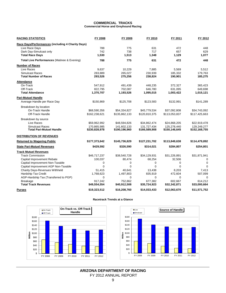#### **COMMERCIAL TRACKS Commercial Horse and Greyhound Racing**

| <b>RACING STATISTICS</b>                                  | FY 2008                      | FY 2009                      | FY 2010                      | FY 2011                      | FY 2012                      |
|-----------------------------------------------------------|------------------------------|------------------------------|------------------------------|------------------------------|------------------------------|
| Race Days/Performances (including 4 Charity Days)         |                              |                              |                              |                              |                              |
| Live Race Days                                            | 788                          | 775                          | 631                          | 472                          | 448                          |
| Dark Day-Simulcast only                                   | 742                          | 738                          | 717                          | 657                          | 629                          |
| <b>Total Race Days</b>                                    | 1.530                        | 1,513                        | 1,348                        | 1,129                        | 1.077                        |
| Total Live Performances (Matinee & Evening)               | 788                          | 775                          | 631                          | 472                          | 448                          |
| <b>Number of Races</b>                                    |                              |                              |                              |                              |                              |
| Live Races                                                | 9,637                        | 10,229                       | 7,885                        | 5,569                        | 5,512                        |
| <b>Simulcast Races</b>                                    | 283,889                      | 265,027                      | 230,939                      | 185,332                      | 179,763                      |
| <b>Total Number of Races</b>                              | 293,526                      | 275,256                      | 238,824                      | 190,901                      | 185,275                      |
| <b>Attendance</b>                                         |                              |                              |                              |                              |                              |
| On-Track                                                  | 547,912                      | 491,439                      | 448,235                      | 372,327                      | 365,423                      |
| Off-Track                                                 | 822,795                      | 702,087                      | 646,780                      | 631,095                      | 649,698                      |
| <b>Total Attendance</b>                                   | 1,370,707                    | 1,193,526                    | 1,095,015                    | 1,003,422                    | 1,015,121                    |
| <b>Pari-Mutuel Handle</b>                                 |                              |                              |                              |                              |                              |
| Average Handle per Race Day                               | \$150,869                    | \$125,708                    | \$123,583                    | \$132,991                    | \$141,289                    |
| Breakdown by location                                     |                              |                              |                              |                              |                              |
| On-Track Handle                                           | \$68,590,356                 | \$54,334,827                 | \$45,779,534                 | \$37,092,808                 | \$34,743,092                 |
| Off-Track Handle                                          | \$162,238,621                | \$135,862,133                | \$120,810,375                | \$113,053,837                | \$117,425,663                |
| Breakdown by source                                       |                              |                              |                              |                              |                              |
| Live Races                                                | \$59,962,992                 | \$48,594,826                 | \$34,862,474                 | \$24,868,205                 | \$22,919,478                 |
| <b>Simulcast Races</b><br><b>Total Pari-Mutuel Handle</b> | 170,865,985<br>\$230,828,978 | 141,602,133<br>\$190,196,960 | 131,727,434<br>\$166,589,908 | 125,278,440<br>\$150,146,645 | 129,249,277<br>\$152,168,755 |
| <b>DISTRIBUTION OF REVENUES</b>                           |                              |                              |                              |                              |                              |
| <b>Returned to Wagering Public</b>                        | \$177,373,642                | \$145,736,829                | \$127,231,702                | \$113,849,638                | \$114,479,892                |
| <b>State Pari-Mutuel Revenues</b>                         | \$429,592                    | \$326,590                    | \$314,021                    | \$284,807                    | \$254,801                    |
| <b>Track Mutuel Revenues</b>                              |                              |                              |                              |                              |                              |
| <b>Track Commission</b>                                   | \$46,717,237                 | \$38,540,728                 | \$34,129,931                 | \$31,226,891                 | \$31,871,941                 |
| Capital Improvement Rebate                                | 100,037                      | 80,474                       | 68,254                       | 32,506                       | $\Omega$                     |
| Capital Improvement Non-Taxable                           | $\mathbf 0$                  | $\mathbf 0$                  | 0                            | $\mathbf 0$                  | $\mathbf 0$                  |
| Capital Improvement AGP Non-Taxable                       | $\Omega$                     | $\Omega$                     | $\Omega$                     | $\Omega$                     | $\Omega$                     |
| Charity Days-Revenues Withheld                            | 51,415                       | 40,641                       | 13,438                       | 8,203                        | 7,413                        |
| Hardship Tax Credit                                       | 1,768,623                    | 1,497,803                    | 835,919                      | 472,604                      | 507,099                      |
| AGP-Hardship Tax (Transferred to PGP)                     | $\Omega$                     | $\mathbf 0$                  | $\mathbf 0$                  | $\mathbf 0$                  | 0                            |
| <b>Breakage</b>                                           | 917,242                      | 752,862                      | 677,382                      | 602,667                      | 614,212                      |
| <b>Total Track Revenues</b>                               | \$49,554,554                 | \$40,912,508                 | \$35,724,923                 | \$32,342,871                 | \$33,000,664                 |
| <b>Purses</b>                                             | \$19,323,512                 | \$16,208,760                 | \$14,033,433                 | \$12,063,670                 | \$11,571,752                 |

#### **Racetrack Trends at a Glance**



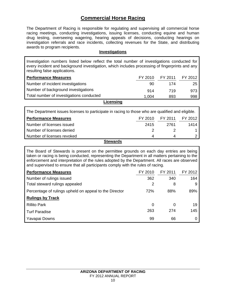# **Commercial Horse Racing**

The Department of Racing is responsible for regulating and supervising all commercial horse racing meetings, conducting investigations, issuing licenses, conducting equine and human drug testing, overseeing wagering, hearing appeals of decisions, conducting hearings on investigation referrals and race incidents, collecting revenues for the State, and distributing awards to program recipients.

## **Investigations**

Investigation numbers listed below reflect the total number of investigations conducted for every incident and background investigation, which includes processing of fingerprints and any resulting false applications.

| <b>Performance Measures</b>              | FY 2010 | FY 2011 | FY 2012 |  |
|------------------------------------------|---------|---------|---------|--|
| Number of incident investigations        | 90      | 174     | 25      |  |
| Number of background investigations      | 914     | 719     | 973     |  |
| Total number of investigations conducted | 1.004   | 893     | 998     |  |
| Licensing                                |         |         |         |  |

| The Department issues licenses to participate in racing to those who are qualified and eligible. |         |         |         |  |
|--------------------------------------------------------------------------------------------------|---------|---------|---------|--|
| <b>Performance Measures</b>                                                                      | FY 2010 | FY 2011 | FY 2012 |  |
| Number of licenses issued                                                                        | 2415    | 2761    | 1414    |  |
| Number of licenses denied                                                                        |         |         |         |  |
| Number of licenses revoked                                                                       | 4       |         |         |  |
| <b>Stewards</b>                                                                                  |         |         |         |  |

The Board of Stewards is present on the permittee grounds on each day entries are being taken or racing is being conducted, representing the Department in all matters pertaining to the enforcement and interpretation of the rules adopted by the Department. All races are observed and supervised to ensure that all participants comply with the rules of racing.

| <b>Performance Measures</b>                            | FY 2010  | FY 2011 | FY 2012 |
|--------------------------------------------------------|----------|---------|---------|
| Number of rulings issued                               | 362      | 340     | 164     |
| Total steward rulings appealed                         | 2        | 8       | 9       |
| Percentage of rulings upheld on appeal to the Director | 72%      | 88%     | 89%     |
| <b>Rulings by Track</b>                                |          |         |         |
| <b>Rillito Park</b>                                    | $\Omega$ | O       | 19      |
| <b>Turf Paradise</b>                                   | 263      | 274     | 145     |
| Yavapai Downs                                          | 99       | 66      |         |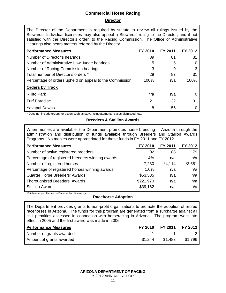# **Commercial Horse Racing**

## **Director**

The Director of the Department is required by statute to review all rulings issued by the Stewards. Individual licensees may also appeal a Stewards' ruling to the Director, and if not satisfied with the Director's order, to the Racing Commission. The Office of Administrative Hearings also hears matters referred by the Director.

| <b>Performance Measures</b>                             | FY 2010 | FY 2011 | FY 2012 |
|---------------------------------------------------------|---------|---------|---------|
| Number of Director's hearings                           | 39      | 81      | 31      |
| Number of Administrative Law Judge hearings             | 5       | 5       |         |
| Number of Racing Commission hearings                    | 3       | 0       | 3       |
| Total number of Director's orders *                     | 29      | 87      | 31      |
| Percentage of orders upheld on appeal to the Commission | 100%    | n/a     | 100%    |
| <b>Orders by Track</b>                                  |         |         |         |
| <b>Rillito Park</b>                                     | n/a     | n/a     |         |
| <b>Turf Paradise</b>                                    | 21      | 32      | 31      |
| Yavapai Downs                                           | 8       | 55      |         |

\* Does not include orders for action such as stays, reinstatements, cases dismissed, etc.

## **Breeders & Stallion Awards**

When monies are available, the Department promotes horse breeding in Arizona through the administration and distribution of funds available through Breeders and Stallion Awards Programs. No monies were appropriated for these funds in FY 2011 and FY 2012.

| <b>Performance Measures</b>                      | FY 2010   | FY 2011  | FY 2012  |
|--------------------------------------------------|-----------|----------|----------|
| Number of active registered breeders             | 92        | 88       | 79       |
| Percentage of registered breeders winning awards | 4%        | n/a      | n/a      |
| Number of registered horses                      | 7,230     | $*4,114$ | $*3,681$ |
| Percentage of registered horses winning awards   | 1.0%      | n/a      | n/a      |
| <b>Quarter Horse Breeders' Awards</b>            | \$53,585  | n/a      | n/a      |
| Thoroughbred Breeders' Awards                    | \$221.970 | n/a      | n/a      |
| <b>Stallion Awards</b>                           | \$39,162  | n/a      | n/a      |

\*Database purged of horses certified more than 14 years ago

## **Racehorse Adoption**

The Department provides grants to non-profit organizations to promote the adoption of retired racehorses in Arizona. The funds for this program are generated from a surcharge against all civil penalties assessed in connection with horseracing in Arizona. The program went into effect in 2005 and the first award was made in 2006.

| <b>Performance Measures</b> | FY 2010 FY 2011 FY 2012 |         |
|-----------------------------|-------------------------|---------|
| Number of grants awarded    | $1 \quad 1 \quad 2$     |         |
| Amount of grants awarded    | \$1.244 \$1.483         | \$1.796 |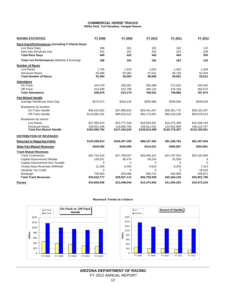#### **COMMERCIAL HORSE TRACKS Rillito Park, Turf Paradise, Yavapai Downs**

| <b>RACING STATISTICS</b>                                  | FY 2008                      | FY 2009                      | FY 2010                      | FY 2011                      | FY 2012                      |
|-----------------------------------------------------------|------------------------------|------------------------------|------------------------------|------------------------------|------------------------------|
| Race Days/Performances (including 3 Charity Days)         |                              |                              |                              |                              |                              |
| Live Race Days                                            | 188                          | 181                          | 181                          | 162                          | 142                          |
| Dark Day-Simulcast only                                   | 252                          | 251                          | 261                          | 242                          | 208                          |
| <b>Total Race Days</b>                                    | 440                          | 432                          | 442                          | 404                          | 350                          |
| Total Live Performances (Matinee & Evening)               | 188                          | 181                          | 181                          | 162                          | 142                          |
| <b>Number of Races</b>                                    |                              |                              |                              |                              |                              |
| Live Races                                                | 1,706                        | 1,620                        | 1,624                        | 1,452                        | 1,268                        |
| <b>Simulcast Races</b>                                    | 50,688                       | 50,382                       | 57,041                       | 58,139                       | 52,344                       |
| <b>Total Number of Races</b>                              | 52,394                       | 52,002                       | 58,665                       | 59,591                       | 53,612                       |
| <b>Attendance</b>                                         |                              |                              |                              |                              |                              |
| On-Track                                                  | 324,079                      | 289,381                      | 290,388                      | 272,810                      | 293,403                      |
| Off-Track                                                 | 614,599                      | 523,798                      | 496,143                      | 476,156                      | 494,570                      |
| <b>Total Attendance</b>                                   | 938,678                      | 813,179                      | 786,531                      | 748,966                      | 787,973                      |
| <b>Pari-Mutuel Handle</b>                                 |                              |                              |                              |                              |                              |
| Average Handle per Race Day                               | \$370,672                    | \$318,135                    | \$290,986                    | \$298,956                    | \$349,028                    |
| Breakdown by location                                     |                              |                              |                              |                              |                              |
| On-Track Handle                                           | \$46,415,601                 | \$37,880,820                 | \$34,441,647                 | \$30,361,770                 | \$28,181,407                 |
| Off-Track Handle                                          | \$116,680,191                | \$99,553,421                 | \$94,173,951                 | \$90,416,538                 | \$93,978,514                 |
| Breakdown by source                                       |                              |                              |                              |                              |                              |
| Live Races                                                | \$27,094,443                 | \$20,777,540                 | \$19,594,567                 | \$16,275,398                 | \$14,036,164                 |
| <b>Simulcast Races</b><br><b>Total Pari-Mutuel Handle</b> | 136,001,349<br>\$163,095,792 | 116.656.700<br>\$137,434,240 | 109.021.031<br>\$128,615,598 | 104,502,909<br>\$120,778,307 | 108,123,757<br>\$122,159,921 |
| <b>DISTRIBUTION OF REVENUES</b>                           |                              |                              |                              |                              |                              |
| <b>Returned to Wagering Public</b>                        | \$125,299,914                | \$105,457,399                | \$98,157,491                 | \$91,338,754                 | \$91,407,944                 |
| <b>State Pari-Mutuel Revenues</b>                         | \$429,592                    | \$326,590                    | \$314,021                    | \$284,807                    | \$254,801                    |
| <b>Track Mutuel Revenues</b>                              |                              |                              |                              |                              |                              |
| <b>Track Commission</b>                                   | \$32,744,518                 | \$27,789,057                 | \$26,094,321                 | \$24,787,523                 | \$25,325,994                 |
| Capital Improvement Rebate                                | 100,037                      | 80,474                       | 68,254                       | 32,506                       | 0                            |
| Capital Improvement Non-Taxable                           | $\Omega$                     | $\Omega$                     | $\Omega$                     | $\Omega$                     | $\Omega$                     |
| <b>Charity Days-Revenues Withheld</b>                     | 12,268                       | 8,494                        | 9,623                        | 8,203                        | 7,413                        |
| Hardship Tax Credit                                       | $\Omega$                     | $\Omega$                     | $\Omega$                     | $\Omega$                     | 18,516                       |
| <b>Breakage</b>                                           | 759,954                      | 629,086                      | 586.731                      | 535,899                      | 549,871                      |
| <b>Total Track Revenues</b>                               | \$33,616,777                 | \$28,507,112                 | \$26,758,929                 | \$25,364,130                 | \$25,901,795                 |
| <b>Purses</b>                                             | \$15,828,636                 | \$13,448,044                 | \$12,474,952                 | \$11,254,252                 | \$10,572,243                 |

#### **Racetrack Trends at a Glance**



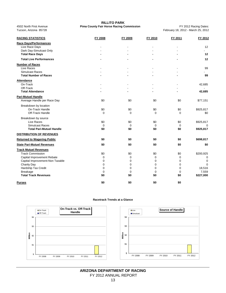| <b>RACING STATISTICS</b>                       | FY 2008            | FY 2009            | FY 2010            | FY 2011            | FY 2012     |
|------------------------------------------------|--------------------|--------------------|--------------------|--------------------|-------------|
| <b>Race Days/Performances</b>                  |                    |                    |                    |                    |             |
| Live Race Days                                 |                    |                    |                    |                    | 12          |
| Dark Day-Simulcast Only                        |                    |                    |                    |                    |             |
| <b>Total Race Days</b>                         |                    |                    |                    |                    | 12          |
| <b>Total Live Performances</b>                 |                    |                    |                    |                    | 12          |
| <b>Number of Races</b>                         |                    |                    |                    |                    |             |
| Live Races                                     |                    |                    |                    |                    | 99          |
| Simulcast Races                                |                    |                    |                    |                    |             |
| <b>Total Number of Races</b>                   |                    |                    |                    |                    | 99          |
| <b>Attendance</b>                              |                    |                    |                    |                    |             |
| On-Track                                       |                    |                    |                    |                    | 42,685      |
| Off-Track                                      |                    |                    |                    |                    |             |
| <b>Total Attendance</b>                        |                    |                    |                    |                    | 42,685      |
| <b>Pari-Mutuel Handle</b>                      |                    |                    |                    |                    |             |
| Average Handle per Race Day                    | \$0                | \$0                | \$0                | \$0                | \$77,151    |
| Breakdown by location                          |                    |                    |                    |                    |             |
| On-Track Handle                                | \$0                | \$0                | \$0                | \$0                | \$925,817   |
| Off-Track Handle                               | $\mathbf 0$        | $\mathbf 0$        | $\mathbf 0$        | $\mathbf 0$        | \$0         |
| Breakdown by source                            |                    |                    |                    |                    |             |
| Live Races                                     | \$0                | \$0                | \$0                | \$0                | \$925,817   |
| <b>Simulcast Races</b>                         | $\mathbf 0$        | $\mathbf 0$        | $\mathbf 0$        | $\mathbf 0$        | 0           |
| <b>Total Pari-Mutuel Handle</b>                | \$0                | \$0                | \$0                | \$0                | \$925,817   |
| DISTRIBUTION OF REVENUES                       |                    |                    |                    |                    |             |
| <b>Returned to Wagering Public</b>             | \$0                | \$0                | \$0                | \$0                | \$698,817   |
| <b>State Pari-Mutuel Revenues</b>              | \$0                | \$0                | \$0                | \$0                | \$0         |
| <b>Track Mutuel Revenues</b>                   |                    |                    |                    |                    |             |
| <b>Track Commission</b>                        | \$0                | \$0                | \$0                | \$0                | \$200,925   |
| Capital Improvement Rebate                     | 0                  | 0                  | 0                  | $\mathbf 0$        | 0           |
| Capital Improvement-Non Taxable                | $\Omega$           | 0                  | $\mathbf 0$        | $\Omega$           | $\mathbf 0$ |
| Charity Day                                    | $\mathbf 0$        | $\mathbf 0$        | 0                  | $\mathbf 0$        | $\Omega$    |
| Hardship Tax Credit                            | $\mathbf 0$        | $\mathbf 0$        | 0                  | 0                  | 18,516      |
| <b>Breakage</b><br><b>Total Track Revenues</b> | $\mathbf 0$<br>\$0 | $\mathbf 0$<br>\$0 | $\mathbf 0$<br>\$0 | $\mathbf 0$<br>\$0 | 7,559       |
|                                                |                    |                    |                    |                    | \$227,000   |
| <b>Purses</b>                                  | \$0                | \$0                | \$0                | \$0                |             |

**RILLITO PARK**

Tucson, Arizona 85728 February 18, 2012 Racing Dates:<br>Tucson, Arizona 85728 February 18, 2012 - March 25, 2012

4502 North First Avenue **Pima County Fair Horse Racing Commission** 

#### **Racetrack Trends at a Glance**

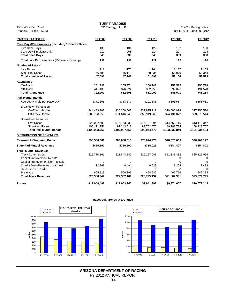| Phoenix, Arizona 85023                            |               |               |              |               | July 1, 2011 - June 30, 2012 |
|---------------------------------------------------|---------------|---------------|--------------|---------------|------------------------------|
| <b>RACING STATISTICS</b>                          | FY 2008       | FY 2009       | FY 2010      | FY 2011       | FY 2012                      |
| Race Days/Performances (including 3 Charity Days) |               |               |              |               |                              |
| Live Race Days                                    | 133           | 131           | 129          | 132           | 130                          |
| Dark Day-Simulcast only                           | 212           | 208           | 214          | 207           | 208                          |
| <b>Total Race Days</b>                            | 345           | 339           | 343          | 339           | 338                          |
| Total Live Performances (Matinee & Evening)       | 133           | 131           | 129          | 132           | 130                          |
| <b>Number of Races</b>                            |               |               |              |               |                              |
| Live Races                                        | 1,211         | 1,175         | 1,164        | 1,187         | 1,169                        |
| <b>Simulcast Races</b>                            | 46,485        | 46,112        | 50,334       | 51,979        | 52,344                       |
| <b>Total Number of Races</b>                      | 47,696        | 47,287        | 51,498       | 53,166        | 53,513                       |
| <b>Attendance</b>                                 |               |               |              |               |                              |
| On-Track                                          | 281,137       | 255,374       | 258,241      | 253,595       | 250,718                      |
| Off-Track                                         | 441,130       | 376,924       | 352,858      | 392,026       | 494,570                      |
| <b>Total Attendance</b>                           | 722,267       | 632,298       | 611,099      | 645,621       | 745,288                      |
| <b>Pari-Mutuel Handle</b>                         |               |               |              |               |                              |
| Average Handle per Race Day                       | \$371,605     | \$318,577     | \$291,383    | \$306,587     | \$358,681                    |
| Breakdown by location                             |               |               |              |               |                              |
| On-Track Handle                                   | \$44,483,207  | \$36,350,503  | \$32,995,111 | \$29,500,978  | \$27,255,590                 |
| Off-Track Handle                                  | \$83,720,553  | \$71,646,948  | \$66,949,360 | \$74,431,872  | \$93,978,514                 |
| Breakdown by source                               |               |               |              |               |                              |
| Live Races                                        | \$22,092,609  | \$16,753,833  | \$16,181,894 | \$14,650,115  | \$13,110,347                 |
| Simulcast Races                                   | 106,111,151   | 91,243,618    | 83,762,576   | 89,282,734    | 108,123,757                  |
| <b>Total Pari-Mutuel Handle</b>                   | \$128,203,760 | \$107,997,451 | \$99,944,470 | \$103,932,849 | \$121,234,104                |
| <b>DISTRIBUTION OF REVENUES</b>                   |               |               |              |               |                              |
| <b>Returned to Wagering Public</b>                | \$98,508,381  | \$83,068,015  | \$76,074,976 | \$78,526,009  | \$90,709,127                 |
| <b>State Pari-Mutuel Revenues</b>                 | \$429,592     | \$326,590     | \$314,021    | \$284,807     | \$254,801                    |
| <b>Track Mutuel Revenues</b>                      |               |               |              |               |                              |
| <b>Track Commission</b>                           | \$25,770,861  | \$21,843,282  | \$20,257,041 | \$21,331,382  | \$25,125,069                 |
| Capital Improvement Rebate                        | 0             | 0             | 0            | 0             | 0                            |
| Capital Improvement Non-Taxable                   | $\Omega$      | $\mathbf 0$   | 0            | $\Omega$      | 0                            |
| Charity Days-Revenues Withheld                    | 12,268        | 8,494         | 9,623        | 8,203         | 7,413                        |
| Hardship Tax Credit                               | $\Omega$      | 0             | 0            | $\Omega$      |                              |
| <b>Breakage</b>                                   | 605,819       | 500,393       | 458,532      | 462,766       | 542,313                      |
| <b>Total Track Revenues</b>                       | \$26,388,947  | \$22,352,169  | \$20,725,197 | \$21,802,351  | \$25,674,795                 |
| Purses                                            | \$13,008,498  | \$11,053,240  | \$9,941,897  | \$9,874,607   | \$10,572,243                 |

**TURF PARADISE<br>TP Racing, L.L.L.P.** 1501 West Bell Road **TP Racing, L.L.L.P.** FY 2012 Racing Dates:





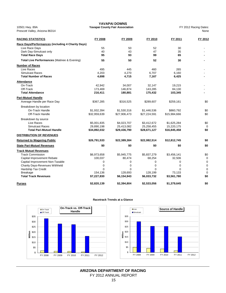10501 Hwy. 89A **Yavapai County Fair Association** FY 2012 Racing Dates: Prescott Valley, Arizona 86314 None New York New York New York New York New York New York New York New York New York New York New York New York New York New York New York New York New York New York New York New York New Yo

# **YAVAPAI DOWNS**

| <b>RACING STATISTICS</b>                          | FY 2008      | FY 2009      | FY 2010      | FY 2011      | FY 2012     |
|---------------------------------------------------|--------------|--------------|--------------|--------------|-------------|
| Race Days/Performances (including 4 Charity Days) |              |              |              |              |             |
| Live Race Days                                    | 55           | 50           | 52           | 30           |             |
| Dark Day-Simulcast only                           | 40           | 43           | 47           | 35           |             |
| <b>Total Race Days</b>                            | 95           | 93           | 99           | 65           |             |
| Total Live Performances (Matinee & Evening)       | 55           | 50           | 52           | 30           |             |
| <b>Number of Races</b>                            |              |              |              |              |             |
| Live Races                                        | 495          | 445          | 460          | 265          |             |
| Simulcast Races                                   | 4,203        | 4,270        | 6,707        | 6,160        |             |
| <b>Total Number of Races</b>                      | 4,698        | 4,715        | 7,167        | 6,425        |             |
| <b>Attendance</b>                                 |              |              |              |              |             |
| On-Track                                          | 42,942       | 34,007       | 32,147       | 19,215       |             |
| Off-Track                                         | 173,469      | 146,874      | 143,285      | 84,130       |             |
| <b>Total Attendance</b>                           | 216,411      | 180,881      | 175,432      | 103,345      |             |
| <b>Pari-Mutuel Handle</b>                         |              |              |              |              |             |
| Average Handle per Race Day                       | \$367,285    | \$316,525    | \$289,607    | \$259,161    | \$0         |
| Breakdown by location                             |              |              |              |              |             |
| On-Track Handle                                   | \$1,932,394  | \$1,530,316  | \$1,446,536  | \$860,792    | \$0         |
| Off-Track Handle                                  | \$32,959,639 | \$27,906,473 | \$27,224,591 | \$15,984,666 | \$0         |
| Breakdown by source                               |              |              |              |              |             |
| Live Races                                        | \$5,001,835  | \$4,023,707  | \$3,412,672  | \$1,625,284  | \$0         |
| <b>Simulcast Races</b>                            | 29,890,198   | 25,413,082   | 25,258,455   | 15,220,175   | $\Omega$    |
| <b>Total Pari-Mutuel Handle</b>                   | \$34,892,032 | \$29,436,790 | \$28,671,127 | \$16,845,458 | \$0         |
| DISTRIBUTION OF REVENUES                          |              |              |              |              |             |
| <b>Returned to Wagering Public</b>                | \$26,791,533 | \$22,389,384 | \$22,082,514 | \$12,812,745 | \$0         |
| <b>State Pari-Mutuel Revenues</b>                 | \$0          | \$0          | \$0          | \$0          | \$0         |
| <b>Track Mutuel Revenues</b>                      |              |              |              |              |             |
| <b>Track Commission</b>                           | \$6,973,658  | \$5,945,775  | \$5,837,279  | \$3,456,141  | \$0         |
| Capital Improvement Rebate                        | 100,037      | 80,474       | 68,254       | 32,506       | $\mathbf 0$ |
| Capital Improvement Non-Taxable                   | 0            | 0            | 0            | 0            | $\mathbf 0$ |
| <b>Charity Days-Revenues Withheld</b>             | 0            | 0            | $\mathbf 0$  | 0            | 0           |
| Hardship Tax Credit                               | $\Omega$     | $\Omega$     | $\Omega$     | $\Omega$     | 0           |
| <b>Breakage</b>                                   | 154,136      | 128,693      | 128,199      | 73,133       | $\mathbf 0$ |
| <b>Total Track Revenues</b>                       | \$7,227,830  | \$6,154,943  | \$6,033,732  | \$3,561,780  | \$0         |
| <b>Purses</b>                                     | \$2,820,139  | \$2,394,804  | \$2,533,056  | \$1,379,645  | \$0         |

#### **Racetrack Trends at a Glance**



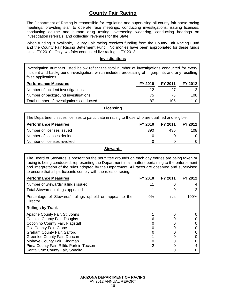# **County Fair Racing**

The Department of Racing is responsible for regulating and supervising all county fair horse racing meetings, providing staff to operate race meetings, conducting investigations, issuing licenses, conducting equine and human drug testing, overseeing wagering, conducting hearings on investigation referrals, and collecting revenues for the State.

When funding is available, County Fair racing receives funding from the County Fair Racing Fund and the County Fair Racing Betterment Fund. No monies have been appropriated for these funds since FY 2010. Only two fairs conducted live racing in FY 2012.

#### **Investigations**

Investigation numbers listed below reflect the total number of investigations conducted for every incident and background investigation, which includes processing of fingerprints and any resulting false applications.

| <b>Performance Measures</b>              | FY 2010 | FY 2011 | FY 2012 |
|------------------------------------------|---------|---------|---------|
| Number of incident investigations        | 12      | ו כי    |         |
| Number of background investigations      | 75      | 78      | 108     |
| Total number of investigations conducted | 87      | 105     | 110     |

**Licensing** 

| The Department issues licenses to participate in racing to those who are qualified and eligible. |         |         |           |  |  |  |  |
|--------------------------------------------------------------------------------------------------|---------|---------|-----------|--|--|--|--|
| <b>Performance Measures</b>                                                                      | FY 2010 | FY 2011 | FY 2012 ' |  |  |  |  |
| Number of licenses issued                                                                        | 390     | 436     | 108       |  |  |  |  |
| Number of licenses denied                                                                        |         |         |           |  |  |  |  |
| Number of licenses revoked                                                                       |         |         |           |  |  |  |  |

#### **Stewards**

The Board of Stewards is present on the permittee grounds on each day entries are being taken or racing is being conducted, representing the Department in all matters pertaining to the enforcement and interpretation of the rules adopted by the Department. All races are observed and supervised to ensure that all participants comply with the rules of racing.

| <b>Performance Measures</b>                                         | FY 2010 | FY 2011 | FY 2012 |
|---------------------------------------------------------------------|---------|---------|---------|
| Number of Stewards' rulings issued                                  | 11      |         |         |
| Total Stewards' rulings appealed                                    |         |         |         |
| Percentage of Stewards' rulings upheld on appeal to the<br>Director | $0\%$   | n/a     | 100%    |
| <b>Rulings by Track</b>                                             |         |         |         |
| Apache County Fair, St. Johns                                       |         |         |         |
| Cochise County Fair, Douglas                                        |         |         |         |
| Coconino County Fair, Flagstaff                                     |         |         |         |
| Gila County Fair, Globe                                             |         |         |         |
| Graham County Fair, Safford                                         |         |         |         |
| Greenlee County Fair, Duncan                                        |         |         |         |
| Mohave County Fair, Kingman                                         |         |         |         |
| Pima County Fair, Rillito Park in Tucson                            |         |         |         |
| Santa Cruz County Fair, Sonoita                                     |         |         |         |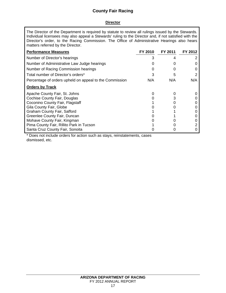# **County Fair Racing**

## **Director**

The Director of the Department is required by statute to review all rulings issued by the Stewards. Individual licensees may also appeal a Stewards' ruling to the Director and, if not satisfied with the Director's order, to the Racing Commission. The Office of Administrative Hearings also hears matters referred by the Director.

| <b>Performance Measures</b>                             | FY 2010 | FY 2011 | FY 2012 |
|---------------------------------------------------------|---------|---------|---------|
| Number of Director's hearings                           | 3       |         |         |
| Number of Administrative Law Judge hearings             |         |         |         |
| Number of Racing Commission hearings                    |         | O       |         |
| Total number of Director's orders*                      | 3       | 5       |         |
| Percentage of orders upheld on appeal to the Commission | N/A     | N/A     | N/A     |
| <b>Orders by Track</b>                                  |         |         |         |
| Apache County Fair, St. Johns                           |         | Ω       |         |
| Cochise County Fair, Douglas                            |         |         |         |
| Coconino County Fair, Flagstaff                         |         |         |         |
| Gila County Fair, Globe                                 |         |         |         |
| Graham County Fair, Safford                             |         |         |         |
| Greenlee County Fair, Duncan                            |         |         |         |
| Mohave County Fair, Kingman                             |         |         |         |
| Pima County Fair, Rillito Park in Tucson                |         |         |         |
| Santa Cruz County Fair, Sonoita                         |         |         |         |

\* Does not include orders for action such as stays, reinstatements, cases dismissed, etc.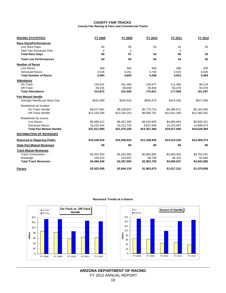#### **COUNTY FAIR TRACKS County Fair Racing at Fairs and Commercial Tracks**

| <b>RACING STATISTICS</b>           | FY 2008      | FY 2009        | FY 2010      | FY 2011      | FY 2012      |
|------------------------------------|--------------|----------------|--------------|--------------|--------------|
| <b>Race Days/Performances</b>      |              |                |              |              |              |
| Live Race Days                     | 64           | 65             | 54           | 44           | 30           |
| Dark Day-Simulcast Only            | 2            | $\overline{2}$ |              | 2            |              |
| <b>Total Race Days</b>             | 66           | 67             | 54           | 46           | 30           |
| <b>Total Live Performances</b>     | 64           | 65             | 54           | 44           | 30           |
| <b>Number of Races</b>             |              |                |              |              |              |
| Live Races                         | 568          | 564            | 468          | 388          | 258          |
| Simulcast Races                    | 3,526        | 4,291          | 3,740        | 5,525        | 4,826        |
| <b>Total Number of Races</b>       | 4,094        | 4,855          | 4,208        | 5,913        | 5,084        |
| <b>Attendance</b>                  |              |                |              |              |              |
| On-Track                           | 145,641      | 161,368        | 129,977      | 111,460      | 96,219       |
| Off-Track                          | 69,231       | 69,658         | 45,844       | 66,479       | 65,078       |
| <b>Total Attendance</b>            | 214,872      | 231,026        | 175,821      | 177,939      | 161,297      |
| <b>Pari-Mutuel Handle</b>          |              |                |              |              |              |
| Average Handle per Race Day        | \$331,999    | \$320,524      | \$265,879    | \$413,433    | \$617,646    |
| Breakdown by location              |              |                |              |              |              |
| On-Track Handle                    | \$8,677,661  | \$8,239,847    | \$5,770,715  | \$6,386,671  | \$6,164,093  |
| Off-Track Handle                   | \$13,234,294 | \$13,235,253   | \$8,586,751  | \$12,631,269 | \$12,365,302 |
| Breakdown by source                |              |                |              |              |              |
| Live Races                         | \$6,680,411  | \$6,261,365    | \$4,529,820  | \$4,865,844  | \$3,839,321  |
| <b>Simulcast Races</b>             | 15,231,544   | 15,213,734     | 9,827,646    | 14,152,097   | 14,690,073   |
| <b>Total Pari-Mutuel Handle</b>    | \$21,911,955 | \$21,475,100   | \$14,357,466 | \$19,017,940 | \$18,529,394 |
| <b>DISTRIBUTION OF REVENUES</b>    |              |                |              |              |              |
| <b>Returned to Wagering Public</b> | \$16,548,016 | \$16,358,923   | \$11,168,940 | \$14,515,240 | \$14,408,373 |
| <b>State Pari-Mutuel Revenues</b>  | \$0          | \$0            | \$0          | \$0          | \$0          |
| <b>Track Mutuel Revenues</b>       |              |                |              |              |              |
| <b>Track Commission</b>            | \$4,357,033  | \$4,293,304    | \$2,883,962  | \$3,905,405  | \$3,750,291  |
| <b>Breakage</b>                    | 109,312      | 104,652        | 68,748       | 95,232       | 92,694       |
| <b>Total Track Revenues</b>        | \$4,466,346  | \$4,397,956    | \$2,952,709  | \$4,000,637  | \$3,842,985  |
| <b>Purses</b>                      | \$2,923,095  | \$2,694,134    | \$1,963,973  | \$1,917,210  | \$1,575,809  |

#### **Racetrack Trends at a Glance**



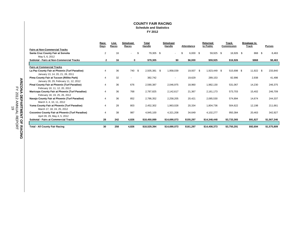#### **COUNTY FAIR RACING Schedule and Statistics FY 2012**

|                                                        | Race           | Live  | <b>Simulcast</b><br>Races |     | Total<br>Handle |     | <b>Simulcast</b><br>Handle | <b>Attendance</b>      |     | Returned<br>to Public | <b>Track</b> | <b>Breakage to</b><br>Track | <b>Purses</b> |
|--------------------------------------------------------|----------------|-------|---------------------------|-----|-----------------|-----|----------------------------|------------------------|-----|-----------------------|--------------|-----------------------------|---------------|
| <b>Fairs at Non-Commercial Tracks</b>                  | <b>Days</b>    | Races |                           |     |                 |     |                            |                        |     |                       | Commission   |                             |               |
| Santa Cruz County Fair at Sonoita                      | $\overline{2}$ | 16    | ÷.                        | \$  | 79,305 \$       |     | $\overline{\phantom{a}}$   | \$<br>$6.000 \quad$ \$ |     | 59,925 \$             | 16,926 \$    | 868 \$                      | 8.463         |
| May 5, 6, 2012                                         |                |       |                           |     |                 |     |                            |                        |     |                       |              |                             |               |
| Subtotal - Fairs at Non-Commercial Tracks              | $\mathbf{2}$   | 16    |                           | 0   | \$79,305        |     | \$0                        | \$6,000                |     | \$59,925              | \$16,926     | \$868                       | \$8,463       |
|                                                        |                |       |                           |     |                 |     |                            |                        |     |                       |              |                             |               |
| <b>Fairs at Commercial Tracks</b>                      |                |       |                           |     |                 |     |                            |                        |     |                       |              |                             |               |
| La Paz County Fair at Phoenix (Turf Paradise)          |                | 36    | 740                       | \$. | 2,505,381       | -\$ | 1,958,039                  | 19,937                 | -\$ | 1,923,449 \$          | 515,698 \$   | $11,922$ \$                 | 233,840       |
| January 13, 14, 20, 21, 28, 2011                       |                |       |                           |     |                 |     |                            |                        |     |                       |              |                             |               |
| Pima County Fair at Tucson (Rillito Park)              | 4              | 32    | ۰                         |     | 382.742         |     |                            | 19,629                 |     | 289,153               | 82,996       | 2,938                       | 41.498        |
| January 28, 29, February 11, 12, 2012                  |                |       |                           |     |                 |     |                            |                        |     |                       |              |                             |               |
| Pinal County Fair at Phoenix (Turf Paradise)           | 4              | 36    | 676                       |     | 2,590,387       |     | 2,046,975                  | 18,960                 |     | 1,982,130             | 531,067      | 14,230                      | 246,375       |
| February 10, 11, 12, 20, 2012                          |                |       |                           |     |                 |     |                            |                        |     |                       |              |                             |               |
| Maricopa County Fair at Phoenix (Turf Paradise)        | 4              | 36    | 768                       |     | 2,787,825       |     | 2,142,617                  | 21,367                 |     | 2,161,173             | 573,703      | 15,402                      | 246,709       |
| February 18, 19, 25, 26, 2012                          |                |       |                           |     |                 |     |                            |                        |     |                       |              |                             |               |
| Navajo County Fair at Phoenix (Turf Paradise)          | 4              | 36    | 852                       |     | 2,786,352       |     | 2,258,205                  | 20,421                 |     | 2,085,530             | 574,894      | 14,674                      | 244.337       |
| March 3, 4, 10, 11, 2012                               |                |       |                           |     |                 |     |                            |                        |     |                       |              |                             |               |
| Yuma County Fair at Phoenix (Turf Paradise)            | 4              | 28    | 803                       |     | 2,452,302       |     | 1,963,028                  | 20,334                 |     | 1,804,736             | 504,622      | 12,198                      | 211,661       |
| March 17, 18, 24, 25, 2012                             |                |       |                           |     |                 |     |                            |                        |     |                       |              |                             |               |
| <b>Coconino County Fair at Phoenix (Turf Paradise)</b> | 4              | 38    | 987                       |     | 4,945,100       |     | 4,321,208                  | 34,649                 |     | 4,102,277             | 950,384      | 20,463                      | 342,927       |
| April 28, 29, May 4, 5, 2012                           |                |       |                           |     |                 |     |                            |                        |     |                       |              |                             |               |
| <b>Subtotal - Fairs at Commercial Tracks</b>           | 28             | 242   | 4,826                     |     | \$18,450,089    |     | \$14,690,073               | \$155,297              |     | \$14,348,448          | \$3,733,365  | \$91,827                    | \$1,567,346   |
|                                                        |                |       |                           |     |                 |     |                            |                        |     |                       |              |                             |               |
| <b>Total - All County Fair Racing</b>                  | 30             | 258   | 4,826                     |     | \$18,529,394    |     | \$14,690,073               | \$161.297              |     | \$14,408,373          | \$3,750,291  | \$92,694                    | \$1,575,809   |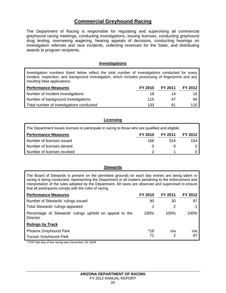# **Commercial Greyhound Racing**

The Department of Racing is responsible for regulating and supervising all commercial greyhound racing meetings, conducting investigations, issuing licenses, conducting greyhound drug testing, overseeing wagering, hearing appeals of decisions, conducting hearings on investigation referrals and race incidents, collecting revenues for the State, and distributing awards to program recipients.

## **Investigations**

Investigation numbers listed below reflect the total number of investigations conducted for every incident, inspection, and background investigation, which includes processing of fingerprints and any resulting false applications.

| <b>Performance Measures</b>              | FY 2010 | FY 2011 | FY 2012 |
|------------------------------------------|---------|---------|---------|
| Number of incident investigations        | 18      | 14      | 16      |
| Number of background investigations      | 115     | 47      | 94      |
| Total number of investigations conducted | 133     | 61      | 110     |

| Licensing                                                                                        |         |                |         |  |  |  |
|--------------------------------------------------------------------------------------------------|---------|----------------|---------|--|--|--|
| The Department issues licenses to participate in racing to those who are qualified and eligible. |         |                |         |  |  |  |
| <b>Performance Measures</b>                                                                      | FY 2010 | <b>FY 2011</b> | FY 2012 |  |  |  |
| Number of licenses issued                                                                        | 166     | 524            | 154     |  |  |  |
| Number of licenses denied                                                                        | O       |                |         |  |  |  |
| Number of licenses revoked                                                                       |         |                |         |  |  |  |

#### **Stewards**

The Board of Stewards is present on the permittee grounds on each day entries are being taken or racing is being conducted, representing the Department in all matters pertaining to the enforcement and interpretation of the rules adopted by the Department. All races are observed and supervised to ensure that all participants comply with the rules of racing.

| <b>Performance Measures</b>                                                | FY 2010   | <b>FY 2011</b> | FY 2012   |
|----------------------------------------------------------------------------|-----------|----------------|-----------|
| Number of Stewards' rulings issued                                         | 90        | 30             | 97        |
| Total Stewards' rulings appealed                                           |           | 2              |           |
| Percentage of Stewards' rulings upheld on appeal to the<br><b>Director</b> | 100%      | 100%           | 100%      |
| <b>Rulings by Track</b>                                                    |           |                |           |
| <b>Phoenix Greyhound Park</b><br><b>Tucson Greyhound Park</b>              | *18<br>71 | n/a<br>2       | n/a<br>97 |

\* PGP last day of live racing was December 19, 2009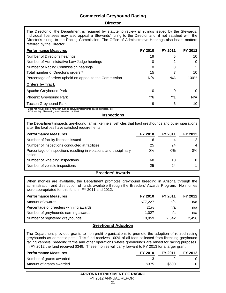# **Commercial Greyhound Racing**

#### **Director**

The Director of the Department is required by statute to review all rulings issued by the Stewards. Individual licensees may also appeal a Stewards' ruling to the Director and, if not satisfied with the Director's ruling, to the Racing Commission. The Office of Administrative Hearings also hears matters referred by the Director.

| <b>Performance Measures</b>                                                               | FY 2010 | FY 2011 | FY 2012 |
|-------------------------------------------------------------------------------------------|---------|---------|---------|
| Number of Director's hearings                                                             | 19      | 5       | 10      |
| Number of Administrative Law Judge hearings                                               | 0       |         |         |
| Number of Racing Commission hearings                                                      | 0       | 0       |         |
| Total number of Director's orders *                                                       | 15      |         | 10      |
| Percentage of orders upheld on appeal to the Commission                                   | N/A     | N/A     | 100%    |
| <b>Orders by Track</b>                                                                    |         |         |         |
| Apache Greyhound Park                                                                     | 0       | 0       |         |
| <b>Phoenix Greyhound Park</b>                                                             | **6     | $***1$  | N/A     |
| <b>Tucson Greyhound Park</b>                                                              | 9       | 6       | 10      |
| * Does not include orders for action such as stavs, reinstatements, cases dismissed, etc. |         |         |         |

\*\*PGP last day of live racing was December 19, 2009

**Inspections** 

The Department inspects greyhound farms, kennels, vehicles that haul greyhounds and other operations after the facilities have satisfied requirements.

| <b>Performance Measures</b>                                                  | FY 2010 | FY 2011 | FY 2012 |
|------------------------------------------------------------------------------|---------|---------|---------|
| Number of facility licenses issued                                           | 6       | 4       |         |
| Number of inspections conducted at facilities                                | 25      | 24      | 4       |
| Percentage of inspections resulting in violations and disciplinary<br>action | 0%      | 0%      | $0\%$   |
| Number of whelping inspections                                               | 68      | 10      |         |
| Number of vehicle inspections                                                | 25      | 24      |         |

#### **Breeders' Awards**

When monies are available, the Department promotes greyhound breeding in Arizona through the administration and distribution of funds available through the Breeders' Awards Program. No monies were appropriated for this fund in FY 2011 and 2012.

| <b>Performance Measures</b>           | <b>FY 2010</b> | FY 2011 | FY 2012 |
|---------------------------------------|----------------|---------|---------|
| Amount of awards                      | \$77,227       | n/a     | n/a     |
| Percentage of breeders winning awards | 21%            | n/a     | n/a     |
| Number of greyhounds earning awards   | 1.027          | n/a     | n/a     |
| Number of registered greyhounds       | 10,959         | 2.642   | 2.496   |
| - - -                                 |                |         |         |

#### **Greyhound Adoption**

The Department provides grants to non-profit organizations to promote the adoption of retired racing greyhounds as domestic pets. This fund receives 100% of all fees collected from licensing greyhound racing kennels, breeding farms and other operations where greyhounds are raised for racing purposes. In FY 2012 the fund received \$349. These monies will carry forward to FY 2013 for a larger grant.

| <b>Performance Measures</b> | FY 2010 | FY 2011 | FY 2012 |
|-----------------------------|---------|---------|---------|
| Number of grants awarded    |         |         |         |
| Amount of grants awarded    | \$375   | \$600   |         |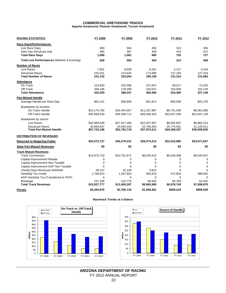#### **COMMERCIAL GREYHOUND TRACKS Apache Greyhound, Phoenix Greyhound, Tucson Greyhound**

| <b>RACING STATISTICS</b>                    | FY 2008      | FY 2009      | FY 2010        | FY 2011      | FY 2012      |
|---------------------------------------------|--------------|--------------|----------------|--------------|--------------|
| <b>Race Days/Performances</b>               |              |              |                |              |              |
| Live Race Days                              | 600          | 594          | 450            | 310          | 306          |
| Dark Day-Simulcast only                     | 490          | 487          | 456            | 415          | 421          |
| <b>Total Race Days</b>                      | 1,090        | 1,081        | 906            | 725          | 727          |
| Total Live Performances (Matinee & Evening) | 600          | 594          | 450            | 310          | 306          |
| <b>Number of Races</b>                      |              |              |                |              |              |
| Live Races                                  | 7,931        | 8,609        | 6,261          | 4,117        | 4.244        |
| <b>Simulcast Races</b>                      | 233,201      | 214,645      | 173,898        | 127,193      | 127,419      |
| <b>Total Number of Races</b>                | 241,132      | 223,254      | 180,159        | 131,310      | 131,663      |
| <b>Attendance</b>                           |              |              |                |              |              |
| On-Track                                    | 223,833      | 202,058      | 157,847        | 99,517       | 72,020       |
| Off-Track                                   | 208,196      | 178,289      | 150,637        | 154,939      | 155,128      |
| <b>Total Attendance</b>                     | 432,029      | 380,347      | 308,484        | 254,456      | 227,148      |
| <b>Pari-Mutuel Handle</b>                   |              |              |                |              |              |
| Average Handle per Race Day                 | \$62,141     | \$48,809     | \$41,914       | \$40,508     | \$41,278     |
| Breakdown by location                       |              |              |                |              |              |
| On-Track Handle                             | \$22,174,756 | \$16,454,007 | \$11,337,887   | \$6,731,038  | \$6,561,685  |
| Off-Track Handle                            | \$45,558,430 | \$36,308,712 | \$26,636,424   | \$22,637,299 | \$23,447,149 |
| Breakdown by source                         |              |              |                |              |              |
| Live Races                                  | \$32,868,549 | \$27,817,286 | \$15,267,907   | \$8,592,807  | \$8,883,314  |
| <b>Simulcast Races</b>                      | 34,864,637   | 24,945,433   | 22,706,403     | 20,775,531   | 21,125,521   |
| Total Pari-Mutuel Handle                    | \$67,733,186 | \$52,762,719 | \$37,974,311   | \$29,368,337 | \$30,008,835 |
| <b>DISTRIBUTION OF REVENUES</b>             |              |              |                |              |              |
| <b>Returned to Wagering Public</b>          | \$52,073,727 | \$40,279,431 | \$29,074,212   | \$22,510,885 | \$23,071,947 |
| <b>State Pari-Mutuel Revenues</b>           | \$0          | \$0          | \$0            | \$0          | \$0          |
| <b>Track Mutuel Revenues</b>                |              |              |                |              |              |
| <b>Track Commission</b>                     | \$13,972,719 | \$10,751,671 | \$8,035,610    | \$6,439,368  | \$6,545,947  |
| Capital Improvement Rebate                  | 0            | 0            | 0              | 0            | 0            |
| Capital Improvement Non-Taxable             | 0            | $\mathbf 0$  | 0              | 0            | 0            |
| Capital Improvement AGP Non-Taxable         | $\Omega$     | $\Omega$     | $\Omega$       | $\Omega$     | $\Omega$     |
| Charity Days-Revenues Withheld              | 39,147       | 32,148       | 3,815          | $\Omega$     | $\mathbf 0$  |
| Hardship Tax Credit                         | 1,768,623    | 1,497,803    | 835,919        | 472,604      | 488,582      |
| AGP-Hardship Tax (Transferred to PGP)       | 0            | $\mathbf 0$  | $\overline{0}$ | $\mathbf 0$  | $\mathbf 0$  |
| <b>Breakage</b>                             | 157,288      | 123,775      | 90,650         | 66,769       | 64,341       |
| <b>Total Track Revenues</b>                 | \$15,937,777 | \$12,405,397 | \$8,965,995    | \$6,978,740  | \$7,098,870  |
| <b>Purses</b>                               | \$3,494,876  | \$2,760,716  | \$1,558,481    | \$809,418    | \$999,509    |

#### **Racetrack Trends at a Glance**



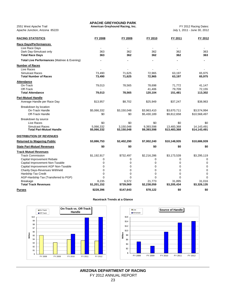**APACHE GREYHOUND PARK**

Apache Junction, Arizona 85220

| <b>RACING STATISTICS</b>                    | FY 2008        | FY 2009                  | FY 2010     | FY 2011        | FY 2012      |
|---------------------------------------------|----------------|--------------------------|-------------|----------------|--------------|
| <b>Race Days/Performances</b>               |                |                          |             |                |              |
| Live Race Days                              | $\blacksquare$ | $\overline{\phantom{a}}$ | $\sim$      | $\blacksquare$ |              |
| Dark Day-Simulcast only                     | 363            | 362                      | 362         | 362            | 363          |
| <b>Total Race Days</b>                      | 363            | 362                      | 362         | 362            | 363          |
| Total Live Performances (Matinee & Evening) |                | $\blacksquare$           |             |                |              |
| <b>Number of Races</b>                      |                |                          |             |                |              |
| Live Races                                  |                |                          |             |                |              |
| Simulcast Races                             | 73,490         | 71,625                   | 72,965      | 63,197         | 65,975       |
| <b>Total Number of Races</b>                | 73,490         | 71,625                   | 72,965      | 63,197         | 65,975       |
| Attendance                                  |                |                          |             |                |              |
| On-Track                                    | 79,013         | 78,565                   | 78,698      | 71,772         | 41,147       |
| Off-Track                                   |                |                          | 41,406      | 79,709         | 72,155       |
| <b>Total Attendance</b>                     | 79,013         | 78,565                   | 120,104     | 151,481        | 113,302      |
| <b>Pari-Mutuel Handle</b>                   |                |                          |             |                |              |
| Average Handle per Race Day                 | \$13,957       | \$8,702                  | \$25,949    | \$37,247       | \$38,963     |
| Breakdown by location                       |                |                          |             |                |              |
| On-Track Handle                             | \$5,066,332    | \$3,150,048              | \$3,963,410 | \$3,670,711    | \$3,574,994  |
| <b>Off-Track Handle</b>                     | \$0            | \$0                      | \$5,430,189 | \$9,812,658    | \$10,568,497 |
| Breakdown by source                         |                |                          |             |                |              |
| Live Races                                  | \$0            | \$0                      | \$0         | \$0            | \$0          |
| <b>Simulcast Races</b>                      | 5,066,332      | 3,150,048                | 9,393,598   | 13,483,368     | 14,143,491   |
| <b>Total Pari-Mutuel Handle</b>             | \$5,066,332    | \$3,150,048              | \$9,393,598 | \$13,483,368   | \$14,143,491 |
| <b>DISTRIBUTION OF REVENUES</b>             |                |                          |             |                |              |
| <b>Returned to Wagering Public</b>          | \$3,886,753    | \$2,402,290              | \$7,002,240 | \$10,148,935   | \$10,686,939 |
| <b>State Pari-Mutuel Revenues</b>           | \$0            | \$0                      | \$0         | \$0            | \$0          |
| <b>Track Mutuel Revenues</b>                |                |                          |             |                |              |
| <b>Track Commission</b>                     | \$1,192,917    | \$732,497                | \$2,216,286 | \$3,173,539    | \$3,295,119  |
| Capital Improvement Rebate                  | 0              | 0                        | $\Omega$    | $\Omega$       | $\Omega$     |
| Capital Improvement Non-Taxable             | 0              | $\mathbf 0$              | 0           | $\mathbf 0$    | $\mathbf 0$  |
| Capital Improvement AGP Non-Taxable         | 0              | 0                        | $\mathbf 0$ | 0              | 0            |
| <b>Charity Days-Revenues Withheld</b>       | $\Omega$       | $\Omega$                 | $\Omega$    | $\Omega$       | $\mathbf 0$  |
| Hardship Tax Credit                         | 0              | $\mathbf 0$              | $\mathbf 0$ | $\mathbf 0$    | $\mathbf 0$  |
| AGP-Hardship Tax (Transferred to PGP)       | $\Omega$       | $\Omega$                 | $\Omega$    | $\Omega$       | $\Omega$     |
| <b>Breakage</b>                             | 8,235          | 6,572                    | 21.773      | 31,895         | 31.016       |
| <b>Total Track Revenues</b>                 | \$1,201,152    | \$739,069                | \$2,238,059 | \$3,205,434    | \$3,326,135  |
| Purses                                      | \$228,396      | \$147,643                | \$78,122    | \$0            | \$0          |

#### **Racetrack Trends at a Glance**



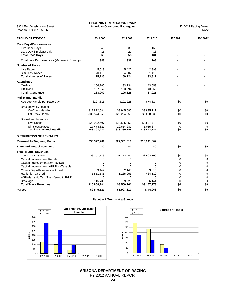3801 East Washington Street **American Greyhound Racing, Inc.** FY 2012 Racing Dates: Phoenix, Arizona 85036

| <b>RACING STATISTICS</b>                    | FY 2008      | FY 2009      | FY 2010      | FY 2011     | FY 2012     |
|---------------------------------------------|--------------|--------------|--------------|-------------|-------------|
| <b>Race Days/Performances</b>               |              |              |              |             |             |
| Live Race Days                              | 348          | 338          | 168          |             |             |
| Dark Day-Simulcast only                     | 15           | 20           | 13           |             |             |
| <b>Total Race Days</b>                      | 363          | 358          | 181          |             |             |
| Total Live Performances (Matinee & Evening) | 348          | 338          | 168          |             |             |
| <b>Number of Races</b>                      |              |              |              |             |             |
| Live Races                                  | 5,019        | 5,422        | 2,399        |             |             |
| <b>Simulcast Races</b>                      | 70,116       | 64,302       | 31,413       |             |             |
| <b>Total Number of Races</b>                | 75,135       | 69,724       | 33,812       |             |             |
| <b>Attendance</b>                           |              |              |              |             |             |
| On-Track                                    | 106,100      | 93,234       | 43,059       |             |             |
| Off-Track                                   | 127,862      | 103,594      | 43,962       |             |             |
| <b>Total Attendance</b>                     | 233,962      | 196,828      | 87,021       |             |             |
| <b>Pari-Mutuel Handle</b>                   |              |              |              |             |             |
| Average Handle per Race Day                 | \$127,816    | \$101,228    | \$74,824     | \$0         | \$0         |
| Breakdown by location                       |              |              |              |             |             |
| On-Track Handle                             | \$12,822,684 | \$9,945,695  | \$3,935,117  | \$0         | \$0         |
| Off-Track Handle                            | \$33,574,550 | \$26,294,053 | \$9,608,030  | \$0         | \$0         |
| Breakdown by source                         |              |              |              |             |             |
| Live Races                                  | \$28,922,407 | \$23,585,459 | \$8,507,773  | \$0         | \$0         |
| <b>Simulcast Races</b>                      | 17.474.827   | 12.654.289   | 5.035.374    | $\Omega$    | $\mathbf 0$ |
| Total Pari-Mutuel Handle                    | \$46,397,234 | \$36,239,748 | \$13,543,147 | \$0         | \$0         |
| DISTRIBUTION OF REVENUES                    |              |              |              |             |             |
| <b>Returned to Wagering Public</b>          | \$35,372,281 | \$27,301,010 | \$10,241,002 |             |             |
| <b>State Pari-Mutuel Revenues</b>           | \$0          | \$0          | \$0          | \$0         | \$0         |
| <b>Track Mutuel Revenues</b>                |              |              |              |             |             |
| <b>Track Commission</b>                     | \$9,151,719  | \$7,113,441  | \$2,663,706  | \$0         | \$0         |
| Capital Improvement Rebate                  | 0            | 0            | 0            | $\mathbf 0$ | $\Omega$    |
| Capital Improvement Non-Taxable             | 0            | 0            | 0            | $\mathbf 0$ | $\mathbf 0$ |
| Capital Improvement AGP Non-Taxable         | $\Omega$     | $\Omega$     | $\Omega$     | $\Omega$    | $\mathbf 0$ |
| <b>Charity Days-Revenues Withheld</b>       | 39,147       | 32,148       | 3,815        | $\Omega$    | $\mathbf 0$ |
| Hardship Tax Credit                         | 1,551,585    | 1,265,053    | 464,112      | $\mathbf 0$ | $\mathbf 0$ |
| AGP-Hardship Tax (Transferred to PGP)       | 0            | 0            | $\mathbf 0$  | $\mathbf 0$ | $\mathbf 0$ |
| <b>Breakage</b>                             | 115,733      | 89,620       | 36,144       | $\mathbf 0$ | $\mathbf 0$ |
| <b>Total Track Revenues</b>                 | \$10,858,184 | \$8,500,261  | \$3,167,778  | \$0         | \$0         |
| <b>Purses</b>                               | \$2,545,527  | \$1,997,810  | \$744,968    | \$0         | \$0         |

#### **Racetrack Trends at a Glance**



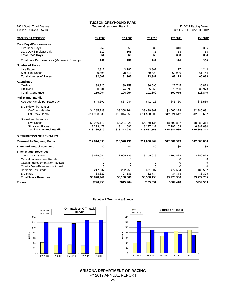**TUCSON GREYHOUND PARK**

2601 South Third Avenue **Tucson Greyhound Park, Inc.** FY 2012 Racing Dates:

| <b>RACING STATISTICS</b>                    | FY 2008      | FY 2009      | FY 2010      | FY 2011      | FY 2012      |
|---------------------------------------------|--------------|--------------|--------------|--------------|--------------|
| <b>Race Days/Performances</b>               |              |              |              |              |              |
| Live Race Days                              | 252          | 256          | 282          | 310          | 306          |
| Dark Day-Simulcast only                     | 112          | 105          | 81           | 53           | 58           |
| <b>Total Race Days</b>                      | 364          | 361          | 363          | 363          | 364          |
| Total Live Performances (Matinee & Evening) | 252          | 256          | 282          | 310          | 306          |
| <b>Number of Races</b>                      |              |              |              |              |              |
| Live Races                                  | 2,912        | 3,187        | 3,862        | 4,117        | 4,244        |
| Simulcast Races                             | 89,595       | 78,718       | 69,520       | 63,996       | 61,444       |
| <b>Total Number of Races</b>                | 92,507       | 81,905       | 73,382       | 68,113       | 65,688       |
| <b>Attendance</b>                           |              |              |              |              |              |
| On-Track                                    | 38,720       | 30,259       | 36,090       | 27,745       | 30,873       |
| Off-Track                                   | 80,334       | 74,695       | 65,269       | 75,230       | 82,973       |
| <b>Total Attendance</b>                     | 119,054      | 104,954      | 101,359      | 102,975      | 113,846      |
| <b>Pari-Mutuel Handle</b>                   |              |              |              |              |              |
| Average Handle per Race Day                 | \$44,697     | \$37,044     | \$41,426     | \$43,760     | \$43,586     |
| Breakdown by location                       |              |              |              |              |              |
| On-Track Handle                             | \$4,285,739  | \$3,358,264  | \$3,439,361  | \$3,060,328  | \$2,986,691  |
| Off-Track Handle                            | \$11,983,880 | \$10.014.659 | \$11,598,205 | \$12,824,642 | \$12,878,652 |
| Breakdown by source                         |              |              |              |              |              |
| Live Races                                  | \$3,946,142  | \$4,231,828  | \$6,760,135  | \$8,592,807  | \$8,883,314  |
| Simulcast Races                             | 12.323.477   | 9.141.096    | 8,277,431    | 7.292.163    | 6.982.030    |
| Total Pari-Mutuel Handle                    | \$16,269,619 | \$13,372,923 | \$15,037,565 | \$15,884,969 | \$15,865,343 |
| <b>DISTRIBUTION OF REVENUES</b>             |              |              |              |              |              |
| <b>Returned to Wagering Public</b>          | \$12,814,693 | \$10,576,130 | \$11,830,969 | \$12,361,949 | \$12,385,008 |
| <b>State Pari-Mutuel Revenues</b>           | \$0          | \$0          | \$0          | \$0          | \$0          |
| <b>Track Mutuel Revenues</b>                |              |              |              |              |              |
| <b>Track Commission</b>                     | 3,628,084    | 2,905,733    | 3,155,618    | 3,265,829    | 3,250,828    |
| Capital Improvement Rebate                  | 0            | 0            | 0            | 0            | $\mathbf 0$  |
| Capital Improvement Non-Taxable             | $\mathbf 0$  | 0            | $\mathbf 0$  | 0            | $\mathbf 0$  |
| <b>Charity Days-Revenues Withheld</b>       | $\Omega$     | $\Omega$     | $\Omega$     | $\Omega$     | $\Omega$     |
| Hardship Tax Credit                         | 217,037      | 232,750      | 371,807      | 472,604      | 488,582      |
| <b>Breakage</b>                             | 33,320       | 27,583       | 32,734       | 34,873       | 33,325       |
| <b>Total Track Revenues</b>                 | \$3,878,441  | \$3,166,066  | \$3,560,158  | \$3,773,306  | \$3,772,735  |
| <b>Purses</b>                               | \$720,953    | \$615,264    | \$735,391    | \$809,418    | \$999,509    |

#### **Racetrack Trends at a Glance**



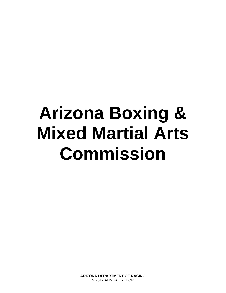# **Arizona Boxing & Mixed Martial Arts Commission**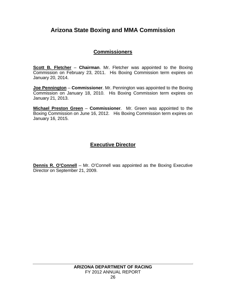# **Arizona State Boxing and MMA Commission**

# **Commissioners**

**Scott B. Fletcher** – **Chairman**. Mr. Fletcher was appointed to the Boxing Commission on February 23, 2011. His Boxing Commission term expires on January 20, 2014.

**Joe Pennington** – **Commissioner**. Mr. Pennington was appointed to the Boxing Commission on January 18, 2010. His Boxing Commission term expires on January 21, 2013.

**Michael Preston Green** – **Commissioner**. Mr. Green was appointed to the Boxing Commission on June 16, 2012. His Boxing Commission term expires on January 16, 2015.

# **Executive Director**

**Dennis R. O'Connell** – Mr. O'Connell was appointed as the Boxing Executive Director on September 21, 2009.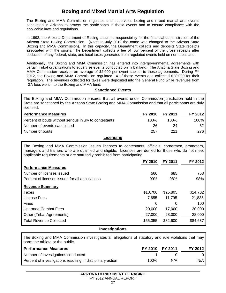# **Boxing and Mixed Martial Arts Regulation**

The Boxing and MMA Commission regulates and supervises boxing and mixed martial arts events conducted in Arizona to protect the participants in these events and to ensure compliance with the applicable laws and regulations.

In 1992, the Arizona Department of Racing assumed responsibility for the financial administration of the Arizona State Boxing Commission. (Note: In July 2010 the name was changed to the Arizona State Boxing and MMA Commission). In this capacity, the Department collects and deposits State receipts associated with the sports. The Department collects a fee of four percent of the gross receipts after deduction of any federal, state, and local taxes generated from regulated events held on non-tribal land.

Additionally, the Boxing and MMA Commission has entered into intergovernmental agreements with certain Tribal organizations to supervise events conducted on Tribal land. The Arizona State Boxing and MMA Commission receives an average of \$2,000 per event subject to these agreements. During FY 2012, the Boxing and MMA Commission regulated 14 of these events and collected \$28,000 for their regulation. The revenues collected for taxes were deposited into the General Fund while revenues from IGA fees went into the Boxing and MMA fund.

## **Sanctioned Events**

The Boxing and MMA Commission ensures that all events under Commission jurisdiction held in the State are sanctioned by the Arizona State Boxing and MMA Commission and that all participants are duly licensed.

| <b>Performance Measures</b>                            | FY 2010 | <b>FY 2011</b> | FY 2012 |
|--------------------------------------------------------|---------|----------------|---------|
| Percent of bouts without serious injury to contestants | 100%    | $100\%$        | 100%    |
| Number of events sanctioned                            | 26      | 24             | 32      |
| Number of bouts                                        | 257     | 221            | 276     |
|                                                        |         |                |         |

#### **Licensing**

The Boxing and MMA Commission issues licenses to contestants, officials, cornermen, promoters, managers and trainers who are qualified and eligible. Licenses are denied for those who do not meet applicable requirements or are statutorily prohibited from participating.

|                                                 | FY 2010  | <b>FY 2011</b> | FY 2012  |
|-------------------------------------------------|----------|----------------|----------|
| <b>Performance Measures</b>                     |          |                |          |
| Number of licenses issued                       | 560      | 685            | 753      |
| Percent of licenses issued for all applications | 99%      | 98%            | 98%      |
| <b>Revenue Summary</b>                          |          |                |          |
| Taxes                                           | \$10,700 | \$25,805       | \$14,702 |
| License Fees                                    | 7,655    | 11,795         | 21,835   |
| <b>Fines</b>                                    | 0        | 0              | 100      |
| Unarmed Combat Fees                             | 20,000   | 17,000         | 20,000   |
| Other (Tribal Agreements)                       | 27,000   | 28,000         | 28,000   |
| <b>Total Revenue Collected</b>                  | \$65,355 | \$82,600       | \$84,637 |

#### **Investigations**

The Boxing and MMA Commission investigates all allegations of statutory and rule violations that may harm the athlete or the public.

| <b>Performance Measures</b>                                | FY 2010 FY 2011 |     | FY 2012 |
|------------------------------------------------------------|-----------------|-----|---------|
| Number of investigations conducted                         |                 |     |         |
| Percent of investigations resulting in disciplinary action | 100%            | N/A | N/A     |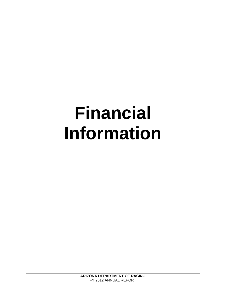# **Financial Information**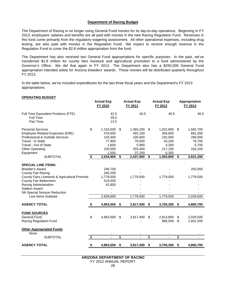#### **Department of Racing Budget**

The Department of Racing is no longer using General Fund monies for its day-to-day operations. Beginning in FY 2013, employees' salaries and benefits are all paid with monies in the new Racing Regulation Fund. Revenues in this fund come primarily from the regulatory wagering assessment. All other operational expenses, including drug testing, are also paid with monies in the Regulation Fund. We expect to receive enough revenue in the Regulation Fund to cover the \$2.8 million appropriation from the fund.

The Department has also received two General Fund appropriations for specific purposes. In the past, we've transferred \$1.8 million for county fairs livestock and agricultural promotion to a fund administered by the Governor's Office. We did that again in FY 2013. The Department also has a \$250,000 General Fund appropriation intended solely for Arizona breeders' awards. Those monies will be distributed quarterly throughout FY 2013.

In the table below, we've included expenditures for the last three fiscal years and the Department's FY 2013 appropriations.

|                                                                                                                                                                                                                                                                         |    | <b>Actual Exp</b><br>FY 2010                                           | <b>Actual Exp</b><br>FY 2011                                                  | <b>Actual Exp</b><br>FY 2012                                                 |          | Appropriation<br>FY 2013                                      |
|-------------------------------------------------------------------------------------------------------------------------------------------------------------------------------------------------------------------------------------------------------------------------|----|------------------------------------------------------------------------|-------------------------------------------------------------------------------|------------------------------------------------------------------------------|----------|---------------------------------------------------------------|
| Full Time Equivalent Positions (FTE)<br><b>Full Time</b><br>Part Time                                                                                                                                                                                                   |    | 42.5<br>29.0<br>13.5                                                   | 40.5                                                                          | 40.5                                                                         |          | 40.5                                                          |
| <b>Personal Services</b><br>Employee Related Expenses (ERE)<br>Professional & Outside Services<br>Travel - In State<br>Travel - Out of State<br><b>Other Operating</b><br>Equipment                                                                                     | \$ | 1,153,500<br>476,500<br>103,400<br>77,900<br>1,600<br>220,500<br>1,500 | \$<br>1,065,200<br>492,100<br>105,600<br>76,500<br>5,900<br>255,400<br>37,200 | \$<br>1,022,800<br>394,600<br>232,500<br>43,200<br>4,300<br>217,100<br>6,300 | \$       | 1,592,700<br>681,000<br>289,000<br>78,700<br>5,700<br>184,100 |
| <b>SUBTOTAL</b>                                                                                                                                                                                                                                                         | \$ | 2,034,900                                                              | \$<br>2,037,900                                                               | \$<br>1,920,800                                                              | \$       | 2,831,200                                                     |
| <b>SPECIAL LINE ITEMS:</b><br><b>Breeder's Award</b><br>County Fair Racing<br>County Fairs Livestock & Agricultural Promotic<br><b>County Fair Betterment</b><br>Racing Administration<br><b>Stallion Award</b><br>5th Special Session Reduction<br>Line Items Subtotal |    | 246,700<br>340,200<br>1,779,500<br>519,400<br>42,800<br>2,928,600      | 1,779,500<br>1,779,500                                                        | 1,779,500<br>1,779,500                                                       |          | 250,000<br>1,779,500<br>2,029,500                             |
| <b>AGENCY TOTAL</b>                                                                                                                                                                                                                                                     | \$ | 4,963,500                                                              | \$<br>3,817,400                                                               | \$<br>3,700,300                                                              | \$       | 4,860,700                                                     |
| <b>FUND SOURCES</b><br><b>General Fund</b><br>Racing Regulation Fund                                                                                                                                                                                                    | \$ | 4,963,500                                                              | \$<br>3,817,400                                                               | \$<br>2,814,800<br>885,500                                                   | \$<br>\$ | 2,029,500<br>2,831,200                                        |
| <b>Other Appropriated Funds</b><br>None                                                                                                                                                                                                                                 |    |                                                                        |                                                                               |                                                                              |          |                                                               |
| <b>SUBTOTAL</b>                                                                                                                                                                                                                                                         | \$ |                                                                        | \$                                                                            | \$                                                                           | \$       |                                                               |
| <b>AGENCY TOTAL</b>                                                                                                                                                                                                                                                     | \$ | 4,963,500                                                              | \$<br>3,817,400                                                               | \$<br>3,700,300                                                              | \$       | 4,860,700                                                     |

#### **OPERATING BUDGET**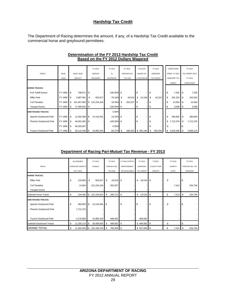## **Hardship Tax Credit**

The Department of Racing determines the amount, if any, of a Hardship Tax Credit available to the commercial horse and greyhound permittees.

|                              |             |    |                  |               | FY 2012       | FY 2012         |    | FY 2012     |            | <b>TAX DUE</b>  |                   | FY 2013         | CARRYOVER           |          | FY 2013                |
|------------------------------|-------------|----|------------------|---------------|---------------|-----------------|----|-------------|------------|-----------------|-------------------|-----------------|---------------------|----------|------------------------|
| <b>TRACK</b>                 | <b>BASE</b> |    | <b>BASE YEAR</b> |               | <b>AMOUNT</b> | %               |    | PARI-MUTUEL |            | <b>BASED ON</b> |                   | <b>HARDSHIP</b> | <b>FROM FY 2012</b> |          | <b>TAX CREDIT WITH</b> |
|                              | <b>YEAR</b> |    | <b>AMOUNT</b>    |               | WAGERED       | <b>DECREASE</b> |    | TAX DUE     | % DECREASE |                 | <b>TAX CREDIT</b> |                 | <b>HARDSHIP TAX</b> | FY 2012  |                        |
|                              |             |    |                  |               |               |                 |    |             |            |                 |                   |                 | CREDIT              |          | CARRYOVER              |
| <b>HORSE TRACKS:</b>         |             |    |                  |               |               |                 |    |             |            |                 |                   |                 |                     |          |                        |
| Fort Tuthill Downs           | FY 1994     | S  | 798,671          | \$            |               | $-100.00\%$ \$  |    |             | \$         |                 | S                 |                 | \$<br>7,320         | \$       | 7,320                  |
| <b>Rillito Park</b>          | FY 1990     | \$ | 3,887,981        | \$            | 925,817       | $-76.19%$       | S  | 18,516      | \$         | 14,108          | \$                | 42,323          | \$<br>201,310       | \$       | 243,632                |
| <b>Turf Paradise</b>         | FY 1994     | S  | 101,467,993      | $\mathfrak s$ | 121,234,104   | 19.48%          | \$ | 262,207     | <b>S</b>   |                 |                   |                 | \$<br>14,564        | Ŝ.       | 14,564                 |
| Yavapai Downs                | FY 1994     | \$ | 17,490,826       | <b>\$</b>     |               | $-100.00\%$ \$  |    |             | \$         |                 | S                 |                 | $3,598$ \$<br>S     |          | 3,598                  |
| <b>GREYHOUND TRACKS:</b>     |             |    |                  |               |               | 0.00%           |    |             |            |                 |                   |                 |                     |          |                        |
| Apache Greyhound Park        | FY 1990     | \$ | 12,262,396       | \$            | 14,143,491    | 15.34% \$       |    |             | \$         |                 | S                 |                 | \$<br>360,850       | <b>S</b> | 360,850                |
| Phoenix Greyhound Park       | FY 1990     | \$ | 49,391,582       | <b>S</b>      |               | $-100.00\%$ \$  |    |             | \$         |                 | \$                |                 | S.<br>7,712,376     | \$       | 7,712,376              |
|                              | FY 1994     | \$ | 46,293,967       |               |               | 0.00%           |    |             |            |                 | S                 |                 | \$                  |          |                        |
| <b>Tucson Greyhound Park</b> | FY 1990     | \$ | 38,110,346       | l \$          | 15,865,343    | $-58.37%$       | \$ | 488,582     |            | \$285,185       | \$                | 855,556         | \$<br>3,042,566     | \$       | 3,898,123              |

#### **Based on the FY 2012 Dollars Wagered Determination of the FY 2013 Hardship Tax Credit**

## **Department of Racing Pari-Mutuel Tax Revenue - FY 2013**

|                           |    | ALLOWABLE               |      | FY 2012       |     | FY 2012     | FY 2012 CAPITAL     | FY 2012           | FY2012             |             | FY 2012 |                | FY 2012         |
|---------------------------|----|-------------------------|------|---------------|-----|-------------|---------------------|-------------------|--------------------|-------------|---------|----------------|-----------------|
| <b>TRACK</b>              |    | <b>HARDSHIP CREDITS</b> |      | <b>HANDLE</b> |     | PARI-MUTUEL | <b>IMPROVEMENT</b>  | <b>HARDSHIP</b>   | <b>COUNTY FAIR</b> |             | CHARITY |                | PARI-MUTUEL TAX |
|                           |    | IN FY 2012              |      |               |     | TAX DUE     | <b>WITHHOLDINGS</b> | <b>TAX CREDIT</b> | <b>CREDITS</b>     | <b>DAYS</b> |         | <b>REVENUE</b> |                 |
| <b>HORSE TRACKS:</b>      |    |                         |      |               |     |             |                     |                   |                    |             |         |                |                 |
| <b>Rillito Park</b>       | S  | 219,826                 | \$   | 925,817       | -\$ | 18,516 \$   |                     | \$<br>18,516 \$   |                    | \$          |         | \$             |                 |
| <b>Turf Paradise</b>      |    | 14,564                  |      | 121,234,104   |     | 262,207     |                     |                   |                    |             | 7,413   |                | 254,794         |
| Yavapai Downs             |    |                         |      |               |     |             |                     |                   |                    |             |         |                |                 |
| Subtotal Horse Tracks     | S  | 234,390                 | \$   | 122,159,921   | S   | 280,723     | \$                  | \$<br>18,516 \$   |                    | \$          | 7,413   | S.             | 254,794         |
| <b>GREYHOUND TRACKS:</b>  |    |                         |      |               |     |             |                     |                   |                    |             |         |                |                 |
| Apache Greyhound Park     | \$ | 360,850                 | l \$ | 14,143,491    | \$  |             | \$<br>-             | \$                | \$                 | \$          |         | S              |                 |
| Phoenix Greyhound Park    |    | 7,712,376               |      |               |     |             |                     |                   |                    |             |         |                |                 |
|                           |    |                         |      |               |     |             |                     |                   |                    |             |         |                |                 |
| Tucson Greyhound Park     |    | 3,176,884               |      | 15,865,343    |     | 488,582     |                     | 488,582           |                    |             |         |                |                 |
| Subtotal Greyhound Tracks | \$ | 11,250,110 \$           |      | 30,008,835 \$ |     | 488,582 \$  |                     |                   |                    | \$          |         | \$             |                 |
| <b>GRAND TOTAL</b>        | \$ | 11,484,500 \$           |      | 152,168,755   | -S  | 769,306 \$  |                     | $$507,099$ \ \$   |                    | \$          | 7,413   | - \$           | 254,794         |